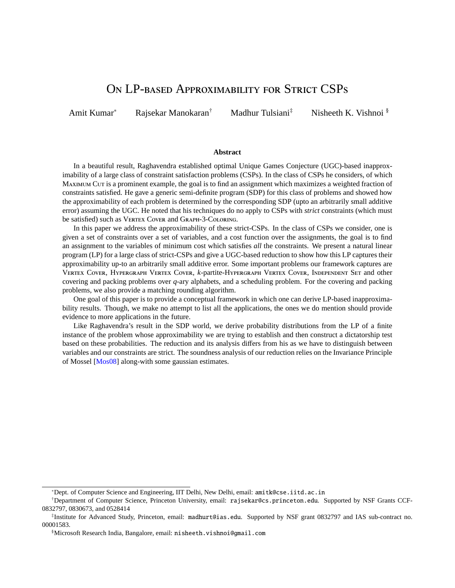# ON LP-BASED APPROXIMABILITY FOR STRICT CSPS

<span id="page-0-0"></span>Amit Kumar<sup>∗</sup> Rajsekar Manokaran† Madhur Tulsiani‡ Nisheeth K. Vishnoi §

#### **Abstract**

In a beautiful result, Raghavendra established optimal Unique Games Conjecture (UGC)-based inapproximability of a large class of constraint satisfaction problems (CSPs). In the class of CSPs he considers, of which MAXIMUM CUT is a prominent example, the goal is to find an assignment which maximizes a weighted fraction of constraints satisfied. He gave a generic semi-definite program (SDP) for this class of problems and showed how the approximability of each problem is determined by the corresponding SDP (upto an arbitrarily small additive error) assuming the UGC. He noted that his techniques do no apply to CSPs with *strict* constraints (which must be satisfied) such as VERTEX COVER and GRAPH-3-COLORING.

In this paper we address the approximability of these strict-CSPs. In the class of CSPs we consider, one is given a set of constraints over a set of variables, and a cost function over the assignments, the goal is to find an assignment to the variables of minimum cost which satisfies *all* the constraints. We present a natural linear program (LP) for a large class of strict-CSPs and give a UGC-based reduction to show how this LP captures their approximability up-to an arbitrarily small additive error. Some important problems our framework captures are VERTEX COVER, HYPERGRAPH VERTEX COVER, *k*-partite-HYPERGRAPH VERTEX COVER, INDEPENDENT SET and other covering and packing problems over *q*-ary alphabets, and a scheduling problem. For the covering and packing problems, we also provide a matching rounding algorithm.

One goal of this paper is to provide a conceptual framework in which one can derive LP-based inapproximability results. Though, we make no attempt to list all the applications, the ones we do mention should provide evidence to more applications in the future.

Like Raghavendra's result in the SDP world, we derive probability distributions from the LP of a finite instance of the problem whose approximability we are trying to establish and then construct a dictatorship test based on these probabilities. The reduction and its analysis differs from his as we have to distinguish between variables and our constraints are strict. The soundness analysis of our reduction relies on the Invariance Principle of Mossel [\[Mos08\]](#page-13-0) along-with some gaussian estimates.

<sup>∗</sup>Dept. of Computer Science and Engineering, IIT Delhi, New Delhi, email: amitk@cse.iitd.ac.in

<sup>†</sup>Department of Computer Science, Princeton University, email: rajsekar@cs.princeton.edu. Supported by NSF Grants CCF-0832797, 0830673, and 0528414

<sup>‡</sup> Institute for Advanced Study, Princeton, email: madhurt@ias.edu. Supported by NSF grant 0832797 and IAS sub-contract no. 00001583.

<sup>§</sup>Microsoft Research India, Bangalore, email: nisheeth.vishnoi@gmail.com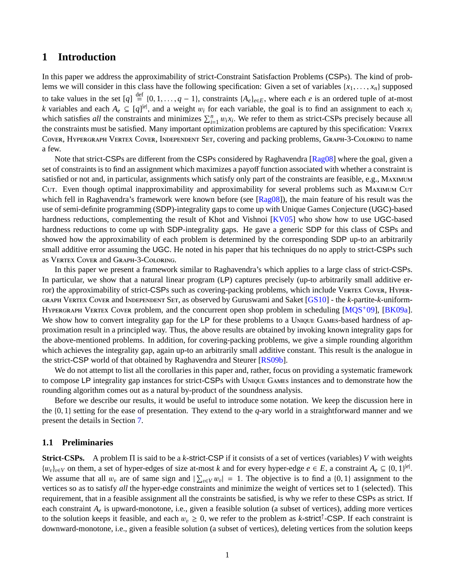## **1 Introduction**

In this paper we address the approximability of strict-Constraint Satisfaction Problems (CSPs). The kind of problems we will consider in this class have the following specification: Given a set of variables  $\{x_1, \ldots, x_n\}$  supposed to take values in the set  $[q] \stackrel{\text{def}}{=} \{0, 1, ..., q - 1\}$ , constraints  $\{A_e\}_{e \in E}$ , where each *e* is an ordered tuple of at-most *k* variables and each *A*  $\subset [q]^{[e]}$  and a weight *w*, for each variable, the goal is to f *k* variables and each  $A_e \subseteq [q]^{|e|}$ , and a weight  $w_i$  for each variable, the goal is to find an assignment to each  $x_i$ <br>which satisfies all the constraints and minimizes  $\sum^n u_i x_i$ . We refer to them as strict. CSPs preci which satisfies *all* the constraints and minimizes  $\sum_{i=1}^{n} w_i x_i$ . We refer to them as strict-CSPs precisely because all<br>the constraints must be satisfied. Many important optimization problems are cantured by this spec the constraints must be satisfied. Many important optimization problems are captured by this specification: V COVER, HYPERGRAPH VERTEX COVER, INDEPENDENT SET, covering and packing problems, GRAPH-3-COLORING to name a few.

Note that strict-CSPs are different from the CSPs considered by Raghavendra [\[Rag08\]](#page-13-1) where the goal, given a set of constraints is to find an assignment which maximizes a payoff function associated with whether a constraint is satisfied or not and, in particular, assignments which satisfy only part of the constraints are feasible, e.g., MAXIMUM CUT. Even though optimal inapproximability and approximability for several problems such as MAXIMUM CUT which fell in Raghavendra's framework were known before (see [\[Rag08\]](#page-13-1)), the main feature of his result was the use of semi-definite programming (SDP)-integrality gaps to come up with Unique Games Conjecture (UGC)-based hardness reductions, complementing the result of Khot and Vishnoi [\[KV05\]](#page-12-0) who show how to use UGC-based hardness reductions to come up with SDP-integrality gaps. He gave a generic SDP for this class of CSPs and showed how the approximability of each problem is determined by the corresponding SDP up-to an arbitrarily small additive error assuming the UGC. He noted in his paper that his techniques do no apply to strict-CSPs such as VERTEX COVER and GRAPH-3-COLORING.

In this paper we present a framework similar to Raghavendra's which applies to a large class of strict-CSPs. In particular, we show that a natural linear program (LP) captures precisely (up-to arbitrarily small additive error) the approximability of strict-CSPs such as covering-packing problems, which include VERTEX COVER, HYPER-GRAPH VERTEX COVER and INDEPENDENT SET, as observed by Guruswami and Saket [\[GS10\]](#page-12-1) - the *k*-partite-*k*-uniform-HYPERGRAPH VERTEX COVER problem, and the concurrent open shop problem in scheduling  $[MQS<sup>+</sup>09]$ , [\[BK09a\]](#page-11-0). We show how to convert integrality gap for the LP for these problems to a UNIQUE GAMES-based hardness of approximation result in a principled way. Thus, the above results are obtained by invoking known integrality gaps for the above-mentioned problems. In addition, for covering-packing problems, we give a simple rounding algorithm which achieves the integrality gap, again up-to an arbitrarily small additive constant. This result is the analogue in the strict-CSP world of that obtained by Raghavendra and Steurer [\[RS09b\]](#page-13-3).

We do not attempt to list all the corollaries in this paper and, rather, focus on providing a systematic framework to compose LP integrality gap instances for strict-CSPs with UNIQUE GAMES instances and to demonstrate how the rounding algorithm comes out as a natural by-product of the soundness analysis.

Before we describe our results, it would be useful to introduce some notation. We keep the discussion here in the {0, <sup>1</sup>} setting for the ease of presentation. They extend to the *<sup>q</sup>*-ary world in a straightforward manner and we present the details in Section [7.](#page-16-0)

### **1.1 Preliminaries**

**Strict-CSPs.** A problem Π is said to be a *k*-strict-CSP if it consists of a set of vertices (variables) *V* with weights  ${w_v}_{v \in V}$  on them, a set of hyper-edges of size at-most *k* and for every hyper-edge *e* ∈ *E*, a constraint  $A_e \subseteq \{0, 1\}^{|e|}$ <br>We assume that all *w*, are of same sign and  $|\nabla u| = 1$ . The objective is to find a  ${0,$ We assume that all  $w_v$  are of same sign and  $|\sum_{v \in V} w_v| = 1$ . The objective is to find a {0, 1} assignment to the vertices so as to satisfy all the hyper-edge constraints and minimize the weight of vertices set to 1 (sel vertices so as to satisfy *all* the hyper-edge constraints and minimize the weight of vertices set to 1 (selected). This requirement, that in a feasible assignment all the constraints be satisfied, is why we refer to these CSPs as strict. If each constraint *A<sup>e</sup>* is upward-monotone, i.e., given a feasible solution (a subset of vertices), adding more vertices to the solution keeps it feasible, and each  $w_v \ge 0$ , we refer to the problem as *k*-strict<sup>†</sup>-CSP. If each constraint is<br>downward monotone i.e., given a feasible solution (a subset of vertices) deleting vertices from the downward-monotone, i.e., given a feasible solution (a subset of vertices), deleting vertices from the solution keeps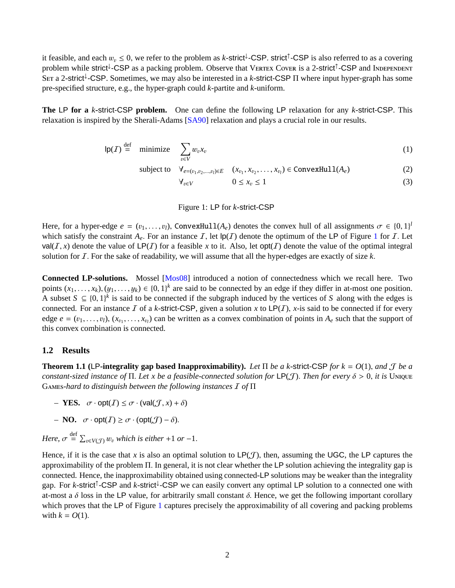<span id="page-2-3"></span>it feasible, and each  $w_v \le 0$ , we refer to the problem as *k*-strict<sup>1</sup>-CSP. strict<sup>1</sup>-CSP is also referred to as a covering<br>problem while strict<sup>1</sup>-CSP as a packing problem. Observe that VERTEX COVER is a 2-strict<sup>1</sup>-CS problem while strict<sup>↓</sup>-CSP as a packing problem. Observe that VERTEX CovER is a 2-strict<sup>†</sup>-CSP and INDEPENDENT SET a 2-strict<sup>†</sup>-CSP. Sometimes, we may also be interested in a k-strict-CSP Π where input hyper-graph has some pre-specified structure, e.g., the hyper-graph could *k*-partite and *k*-uniform.

**The** LP **for a** *k***-**strict-CSP **problem.** One can define the following LP relaxation for any *k*-strict-CSP. This relaxation is inspired by the Sherali-Adams [\[SA90\]](#page-13-4) relaxation and plays a crucial role in our results.

$$
lp(\mathcal{I}) \stackrel{\text{def}}{=} \text{minimize} \quad \sum_{v \in V} w_v x_v \tag{1}
$$

subject to  $\forall e=(v_1, v_2, ..., v_l) \in E$  (*x*<sub>0</sub><sub>1</sub>, *x*<sub>0</sub><sub>2</sub>, ..., *x*<sub>0</sub><sub>*i*</sub>) ∈ ConvexHull(*A*<sub>*e*</sub>) (2)

$$
\forall_{v \in V} \qquad \qquad 0 \leq x_v \leq 1 \tag{3}
$$

<span id="page-2-0"></span>Figure 1: LP for *k*-strict-CSP

Here, for a hyper-edge  $e = (v_1, \ldots, v_l)$ , ConvexHull $(A_e)$  denotes the convex hull of all assignments  $\sigma \in \{0, 1\}^l$ <br>which satisfy the constraint  $A$ . For an instance  $\mathcal{F}$ , let  $P(\mathcal{F})$  denote the optimum of the LP o which satisfy the constraint  $A_e$ . For an instance  $I$ , let  $|p(I)|$  denote the optimum of the LP of Figure [1](#page-2-0) for  $I$ . Let  $val(T, x)$  denote the value of  $LP(T)$  for a feasible x to it. Also, let opt(I) denote the value of the optimal integral solution for  $I$ . For the sake of readability, we will assume that all the hyper-edges are exactly of size  $k$ .

**Connected LP-solutions.** Mossel [\[Mos08\]](#page-13-0) introduced a notion of connectedness which we recall here. Two points  $(x_1, \ldots, x_k)$ ,  $(y_1, \ldots, y_k) \in \{0, 1\}^k$  are said to be connected by an edge if they differ in at-most one position.<br>A subset  $S \subseteq \{0, 1\}^k$  is said to be connected if the subgraph induced by the vertices of S alo A subset *S* ⊆ {0, 1}<sup>k</sup> is said to be connected if the subgraph induced by the vertices of *S* along with the edges is connected. For an instance *L* of a k-strict-CSP given a solution *x* to LP(*L*), *x*-is said to be connected. For an instance  $I$  of a *k*-strict-CSP, given a solution  $x$  to  $LP(I)$ ,  $x$ -is said to be connected if for every edge  $e = (v_1, \ldots, v_l), (x_{v_1}, \ldots, x_{v_l})$  can be written as a convex combination of points in  $A_e$  such that the support of this convex combination is connected this convex combination is connected.

## **1.2 Results**

<span id="page-2-2"></span>**Theorem 1.1 (**LP**-integrality gap based Inapproximability).** *Let* <sup>Π</sup> *be a k-*strict-CSP *for k* <sup>=</sup> *<sup>O</sup>*(1), *and* <sup>J</sup> *be a constant-sized instance of*  $\Pi$ . Let x be a feasible-connected solution for LP(*J*). Then for every  $\delta > 0$ , it is Unique G*-hard to distinguish between the following instances* I *of* Π

- *–* **YES.**  $\sigma \cdot \text{opt}(I) \leq \sigma \cdot (\text{val}(\mathcal{J}, x) + \delta)$
- *–* **NO.**  $\sigma \cdot \text{opt}(I) \geq \sigma \cdot (\text{opt}(\mathcal{J}) \delta).$

*Here,*  $\sigma \stackrel{\text{def}}{=} \sum_{v \in V(\mathcal{J})} w_v$  *which is either* +1 *or* -1.

<span id="page-2-1"></span>Hence, if it is the case that *x* is also an optimal solution to  $LP(\mathcal{J})$ , then, assuming the UGC, the LP captures the approximability of the problem <sup>Π</sup>. In general, it is not clear whether the LP solution achieving the integrality gap is connected. Hence, the inapproximability obtained using connected-LP solutions may be weaker than the integrality gap. For *k*-strict<sup>↑</sup>-CSP and *k*-strict<sup>↓</sup>-CSP we can easily convert any optimal LP solution to a connected one with at-most a  $\delta$  loss in the LP value, for arbitrarily small constant  $\delta$ . Hence, we get the following important corollary which proves that the LP of Figure [1](#page-2-0) captures precisely the approximability of all covering and packing problems with  $k = O(1)$ .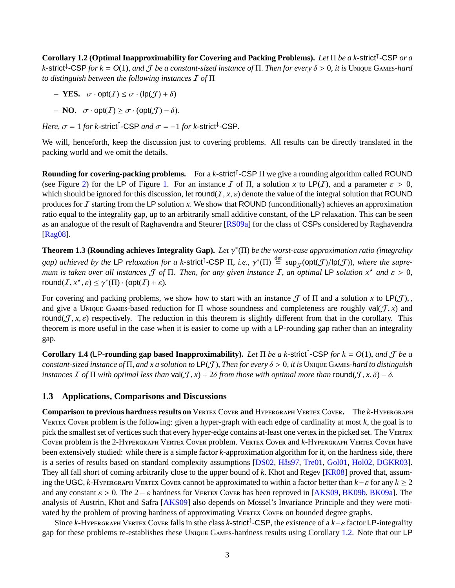<span id="page-3-2"></span>**Corollary 1.2 (Optimal Inapproximability for Covering and Packing Problems).** *Let* Π *be a k-*strict<sup>↑</sup> -CSP *or a*  $k$ -strict<sup>†</sup>-CSP for  $k = O(1)$ , and  $\mathcal J$  *be a constant-sized instance of*  $\Pi$ . *Then for every*  $\delta > 0$ , *it is* Unique Games-hard<br>to distinguish between the following instances  $\mathcal I$  of  $\Pi$ *to distinguish between the following instances* I *of* Π

- *–* **YES.**  $\sigma \cdot \text{opt}(I) \leq \sigma \cdot (\text{lp}(J) + \delta)$
- *–* **NO.**  $\sigma \cdot \text{opt}(I) \ge \sigma \cdot (\text{opt}(\mathcal{J}) \delta).$

*Here,*  $\sigma = 1$  *for k*-strict<sup> $\uparrow$ </sup>-CSP *and*  $\sigma = -1$  *for k*-strict<sup> $\downarrow$ </sup>-CSP.

We will, henceforth, keep the discussion just to covering problems. All results can be directly translated in the packing world and we omit the details.

**Rounding for covering-packing problems.** For a *k*-strict<sup>↑</sup> -CSP Π we give a rounding algorithm called ROUND (see Figure [2\)](#page-9-0) for the LP of Figure [1.](#page-2-0) For an instance I of  $\Pi$ , a solution x to LP(I), and a parameter  $\varepsilon > 0$ , which should be ignored for this discussion, let round( $I, x, \varepsilon$ ) denote the value of the integral solution that ROUND produces for <sup>I</sup> starting from the LP solution *<sup>x</sup>*. We show that ROUND (unconditionally) achieves an approximation ratio equal to the integrality gap, up to an arbitrarily small additive constant, of the LP relaxation. This can be seen as an analogue of the result of Raghavendra and Steurer [\[RS09a\]](#page-13-5) for the class of CSPs considered by Raghavendra [\[Rag08\]](#page-13-1).

<span id="page-3-1"></span>**Theorem 1.3 (Rounding achieves Integrality Gap).** *Let*  $\gamma^*(\Pi)$  *be the worst-case approximation ratio (integrality*) *gap)* achieved by the LP relaxation for a k-strict<sup>†</sup>-CSP  $\Pi$ , i.e.,  $\gamma^*(\Pi) \stackrel{\text{def}}{=} \sup_{\mathcal{J}}(\text{opt}(\mathcal{J})/|\text{p}(\mathcal{J}))$ , where the supre-<br>
pum is taken over all instances  $\mathcal{T}$  of  $\Pi$ . Then, for any given instance *mum is taken over all instances*  $\mathcal{T}$  *of*  $\Pi$ *. Then, for any given instance*  $\mathcal{I}$ *, an optimal* LP *solution*  $x^*$  *and*  $\varepsilon > 0$ *,* round $(I, x^*, \varepsilon) \leq \gamma^*(\Pi) \cdot (\text{opt}(I) + \varepsilon).$ 

For covering and packing problems, we show how to start with an instance  $\mathcal J$  of  $\Pi$  and a solution  $x$  to  $\mathsf{LP}(\mathcal J)$ , and give a UNIQUE GAMES-based reduction for  $\Pi$  whose soundness and completeness are roughly val( $J, x$ ) and round( $J, x, \varepsilon$ ) respectively. The reduction in this theorem is slightly different from that in the corollary. This theorem is more useful in the case when it is easier to come up with a LP-rounding gap rather than an integrality gap.

<span id="page-3-0"></span>**Corollary 1.4** (LP-rounding gap based Inapproximability). *Let*  $\Pi$  *be a k*-strict<sup> $\uparrow$ </sup>-CSP *for k* = *O*(1), *and*  $\mathcal{J}$  *be a* constant sized instance of  $\Pi$  *and*  $x$  *a* solution to  $\mathsf{LP}(\mathcal{T})$ . Then for e *constant-sized instance of*  $\Pi$ *, and x a solution to*  $LP(f)$ *, Then for every*  $\delta > 0$ *, it is* UNIQUE GAMES-hard to distinguish *instances*  $\overline{I}$  *of*  $\Pi$  *with optimal less than* val $(\mathcal{J}, x) + 2\delta$  *from those with optimal more than* round $(\mathcal{J}, x, \delta) - \delta$ .

## **1.3 Applications, Comparisons and Discussions**

**Comparison to previous hardness results on** VERTEX COVER and HYPERGRAPH VERTEX COVER. The *k*-HYPERGRAPH VERTEX COVER problem is the following: given a hyper-graph with each edge of cardinality at most  $k$ , the goal is to pick the smallest set of vertices such that every hyper-edge contains at-least one vertex in the picked set. The V COVER problem is the 2-HYPERGRAPH VERTEX COVER problem. VERTEX COVER and *k*-HYPERGRAPH VERTEX COVER have been extensively studied: while there is a simple factor *k*-approximation algorithm for it, on the hardness side, there is a series of results based on standard complexity assumptions [\[DS02,](#page-12-2) [Hås97,](#page-12-3) [Tre01,](#page-13-6) [Gol01,](#page-12-4) [Hol02,](#page-12-5) [DGKR03\]](#page-12-6). They all fall short of coming arbitrarily close to the upper bound of *<sup>k</sup>*. Khot and Regev [\[KR08\]](#page-12-7) proved that, assuming the UGC, *k*-H Y PERGRAPH VERTEX COVER cannot be approximated to within a factor better than  $k - \varepsilon$  for any  $k \ge 2$ and any constant  $\varepsilon > 0$ . The  $2 - \varepsilon$  hardness for VERTEX Cover has been reproved in [\[AKS09,](#page-11-1) [BK09b,](#page-11-2) [BK09a\]](#page-11-0). The analysis of Austrin, Khot and Safra [\[AKS09\]](#page-11-1) also depends on Mossel's Invariance Principle and they were motivated by the problem of proving hardness of approximating VERTEX Covers on bounded degree graphs.

Since *k*-HYPERGRAPH VERTEX COVER falls in sthe class *k*-strict<sup>†</sup>-CSP, the existence of a  $k-\varepsilon$  factor LP-integrality for these problems restablishes these UNIQUE GAMES bardness results using Corollary 1.2. Note that gap for these problems re-establishes these Unique GAMES-hardness results using Corollary [1.2.](#page-2-1) Note that our LP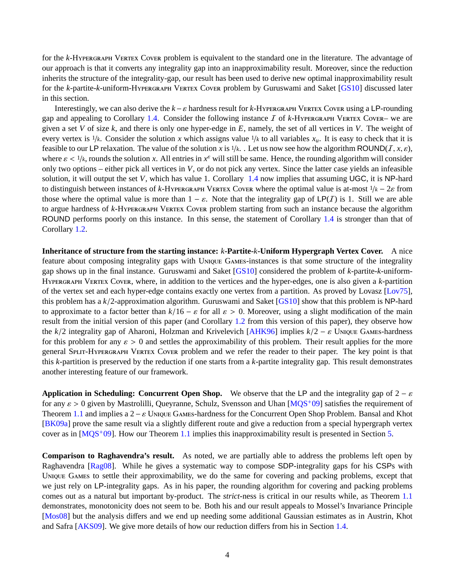<span id="page-4-0"></span>for the *k*-HYPERGRAPH VERTEX COVER problem is equivalent to the standard one in the literature. The advantage of our approach is that it converts any integrality gap into an inapproximability result. Moreover, since the reduction inherits the structure of the integrality-gap, our result has been used to derive new optimal inapproximability result for the *k*-partite-*k*-uniform-HYPERGRAPH VERTEX COVER problem by Guruswami and Saket [\[GS10\]](#page-12-1) discussed later in this section.

Interestingly, we can also derive the  $k - \varepsilon$  hardness result for  $k$ -HYPERGRAPH VERTEX COVER using a LP-rounding gap and appealing to Corollary [1.4.](#page-3-0) Consider the following instance  $I$  of  $k$ -HYPERGRAPH VERTEX COVER– we are given a set *V* of size *k*, and there is only one hyper-edge in *E*, namely, the set of all vertices in *V*. The weight of every vertex is  $1/k$ . Consider the solution *x* which assigns value  $1/k$  to all variables  $x<sub>u</sub>$ . It is easy to check that it is feasible to our LP relaxation. The value of the solution *x* is  $1/k$ . Let us now see how the algorithm ROUND(*I*, *x*, *ε*), where  $\varepsilon < 1/k$ , rounds the solution *x*. All entries in  $x^{\varepsilon}$  will still be same. Hence, the rounding algorithm will consider only two options either pick all vertices in *V* or do not pick any vertex. Since the latt only two options – either pick all vertices in *V*, or do not pick any vertex. Since the latter case yields an infeasible solution, it will output the set *V*, which has value 1. Corollary [1.4](#page-3-0) now implies that assuming UGC, it is NP-hard to distinguish between instances of *k*-H Y V ERTEX COVER where the optimal value is at-most  $1/k - 2\varepsilon$  from those where the optimal value is more than  $1 - \varepsilon$ . Note that the integrality gap of LP(*I*) is 1. Still we are able to argue hardness of *k*-HYPERGRAPH VERTEX COVER problem starting from such an instance because the algorithm ROUND performs poorly on this instance. In this sense, the statement of Corollary [1.4](#page-3-0) is stronger than that of Corollary [1.2.](#page-2-1)

**Inheritance of structure from the starting instance:** *k***-Partite-***k***-Uniform Hypergraph Vertex Cover.** A nice feature about composing integrality gaps with UNIQUE GAMES-instances is that some structure of the integrality gap shows up in the final instance. Guruswami and Saket [\[GS10\]](#page-12-1) considered the problem of *k*-partite-*k*-uniform-HYPERGRAPH VERTEX COVER, where, in addition to the vertices and the hyper-edges, one is also given a *k*-partition of the vertex set and each hyper-edge contains exactly one vertex from a partition. As proved by Lovasz [\[Lov75\]](#page-12-8), this problem has a *<sup>k</sup>*/2-approximation algorithm. Guruswami and Saket [\[GS10\]](#page-12-1) show that this problem is NP-hard to approximate to a factor better than  $k/16 - \varepsilon$  for all  $\varepsilon > 0$ . Moreover, using a slight modification of the main result from the initial version of this paper (and Corollary [1.2](#page-2-1) from this version of this paper), they observe how the  $k/2$  integrality gap of Aharoni, Holzman and Krivelevich [\[AHK96\]](#page-11-3) implies  $k/2 - \varepsilon$  UNIQUE GAMES-hardness for this problem for any  $\varepsilon > 0$  and settles the approximability of this problem. Their result applies for the more general SPLIT-HYPERGRAPH VERTEX COVER problem and we refer the reader to their paper. The key point is that this *k*-partition is preserved by the reduction if one starts from a *k*-partite integrality gap. This result demonstrates another interesting feature of our framework.

**Application in Scheduling: Concurrent Open Shop.** We observe that the LP and the integrality gap of  $2 - \varepsilon$ for any  $\varepsilon > 0$  given by Mastrolilli, Queyranne, Schulz, Svensson and Uhan [\[MQS](#page-13-2)<sup>+</sup>09] satisfies the requirement of Theorem [1.1](#page-2-2) and implies a  $2 - \varepsilon$  UNIQUE GAMES-hardness for the Concurrent Open Shop Problem. Bansal and Khot [\[BK09a\]](#page-11-0) prove the same result via a slightly different route and give a reduction from a special hypergraph vertex cover as in  $[MQS<sup>+</sup>09]$ . How our Theorem [1.1](#page-2-2) implies this inapproximability result is presented in Section [5.](#page-13-7)

**Comparison to Raghavendra's result.** As noted, we are partially able to address the problems left open by Raghavendra [\[Rag08\]](#page-13-1). While he gives a systematic way to compose SDP-integrality gaps for his CSPs with UNIQUE GAMES to settle their approximability, we do the same for covering and packing problems, except that we just rely on LP-integrality gaps. As in his paper, the rounding algorithm for covering and packing problems comes out as a natural but important by-product. The *strict*-ness is critical in our results while, as Theorem [1.1](#page-2-2) demonstrates, monotonicity does not seem to be. Both his and our result appeals to Mossel's Invariance Principle [\[Mos08\]](#page-13-0) but the analysis differs and we end up needing some additional Gaussian estimates as in Austrin, Khot and Safra [\[AKS09\]](#page-11-1). We give more details of how our reduction differs from his in Section [1.4.](#page-5-0)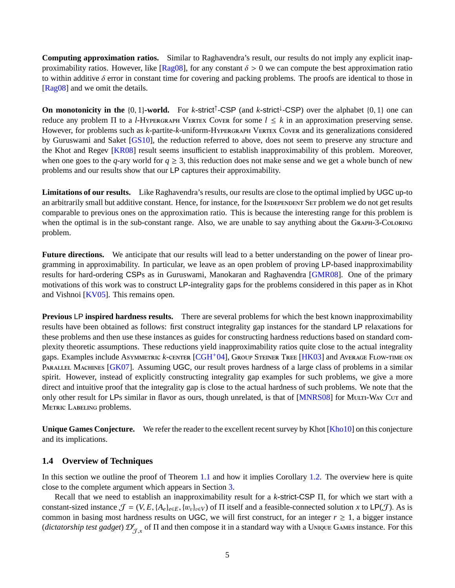<span id="page-5-1"></span>**Computing approximation ratios.** Similar to Raghavendra's result, our results do not imply any explicit inapproximability ratios. However, like  $\sqrt{[\text{Rag08}]}$ , for any constant  $\delta > 0$  we can compute the best approximation ratio to within additive  $\delta$  error in constant time for covering and packing problems. The proofs are identical to those in [\[Rag08\]](#page-13-1) and we omit the details.

**On monotonicity in the**  $\{0, 1\}$ -world. For *k*-strict<sup>↑</sup>-CSP (and *k*-strict<sup>↓</sup>-CSP) over the alphabet  $\{0, 1\}$  one can reduce any problem Π to a *l*-H YPERGRAPH VERTEX COVER for some  $l \leq k$  in an approximation preserving sense. However, for problems such as *k*-partite-*k*-uniform-HYPERGRAPH VERTEX COVER and its generalizations considered by Guruswami and Saket [\[GS10\]](#page-12-1), the reduction referred to above, does not seem to preserve any structure and the Khot and Regev [\[KR08\]](#page-12-7) result seems insufficient to establish inapproximability of this problem. Moreover, when one goes to the *q*-ary world for  $q \ge 3$ , this reduction does not make sense and we get a whole bunch of new problems and our results show that our LP captures their approximability.

**Limitations of our results.** Like Raghavendra's results, our results are close to the optimal implied by UGC up-to an arbitrarily small but additive constant. Hence, for instance, for the INDEPENDENT SET problem we do not get results comparable to previous ones on the approximation ratio. This is because the interesting range for this problem is when the optimal is in the sub-constant range. Also, we are unable to say anything about the GRAPH-3-COLORING problem.

**Future directions.** We anticipate that our results will lead to a better understanding on the power of linear programming in approximability. In particular, we leave as an open problem of proving LP-based inapproximability results for hard-ordering CSPs as in Guruswami, Manokaran and Raghavendra [\[GMR08\]](#page-12-9). One of the primary motivations of this work was to construct LP-integrality gaps for the problems considered in this paper as in Khot and Vishnoi [\[KV05\]](#page-12-0). This remains open.

**Previous** LP **inspired hardness results.** There are several problems for which the best known inapproximability results have been obtained as follows: first construct integrality gap instances for the standard LP relaxations for these problems and then use these instances as guides for constructing hardness reductions based on standard complexity theoretic assumptions. These reductions yield inapproximability ratios quite close to the actual integrality gaps. Examples include ASYMMETRIC *k*-CENTER [\[CGH](#page-12-10)<sup>+</sup>04], GROUP STEINER TREE [\[HK03\]](#page-12-11) and AVERAGE FLOW-TIME ON PARALLEL MACHINES [\[GK07\]](#page-12-12). Assuming UGC, our result proves hardness of a large class of problems in a similar spirit. However, instead of explicitly constructing integrality gap examples for such problems, we give a more direct and intuitive proof that the integrality gap is close to the actual hardness of such problems. We note that the only other result for LPs similar in flavor as ours, though unrelated, is that of [\[MNRS08\]](#page-12-13) for MULTI-WAY CUT and METRIC LABELING problems.

**Unique Games Conjecture.** We refer the reader to the excellent recent survey by Khot [\[Kho10\]](#page-12-14) on this conjecture and its implications.

## <span id="page-5-0"></span>**1.4 Overview of Techniques**

In this section we outline the proof of Theorem [1.1](#page-2-2) and how it implies Corollary [1.2.](#page-2-1) The overview here is quite close to the complete argument which appears in Section [3.](#page-9-1)

Recall that we need to establish an inapproximability result for a *<sup>k</sup>*-strict-CSP <sup>Π</sup>, for which we start with a constant-sized instance  $\mathcal{J} = (V, E, \{A_e\}_{e \in E}, \{w_v\}_{v \in V})$  of  $\Pi$  itself and a feasible-connected solution *x* to  $\mathsf{LP}(\mathcal{J})$ . As is common in basing most hardness results on UGC, we will first construct, for an integer  $r \geq 1$ , a bigger instance (*dictatorship test gadget*) D*<sup>r</sup>* J,*x* of Π and then compose it in a standard way with a UNIQUE GAMES instance. For this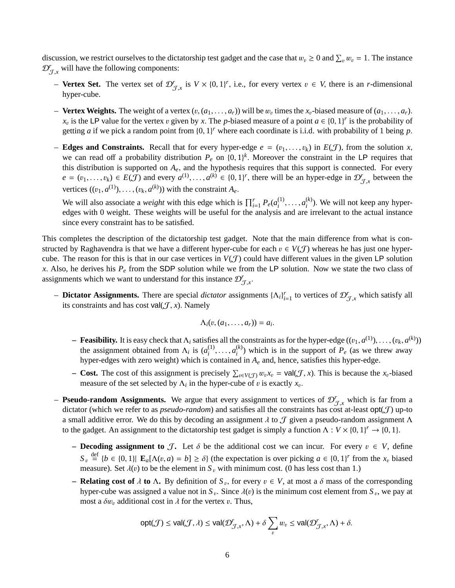discussion, we restrict ourselves to the dictatorship test gadget and the case that  $w_v \ge 0$  and  $\sum_v w_v = 1$ . The instance  $\mathcal{D}^r$  will have the following components:  $\mathcal{D}_{\mathcal{J},x}^r$  will have the following components:

- − **Vertex Set.** The vertex set of  $\mathcal{D}_{\mathcal{J},x}^r$  is  $V \times \{0, 1\}^r$ , i.e., for every vertex  $v \in V$ , there is an *r*-dimensional hyper-cube hyper-cube.
- **Vertex Weights.** The weight of a vertex  $(v, (a_1, \ldots, a_r))$  will be  $w_v$  times the  $x_v$ -biased measure of  $(a_1, \ldots, a_r)$ .<br>  $x$  is the LP value for the vertex *v* given by *x*. The *n* biased measure of a point  $a \in \{0, 1\}$ *x*<sub>v</sub> is the LP value for the vertex v given by *x*. The *p*-biased measure of a point  $a \in \{0, 1\}^r$  is the probability of a point  $a$  is the probability of 1 being *n* getting *a* if we pick a random point from  $\{0, 1\}^r$  where each coordinate is i.i.d. with probability of 1 being *p*.
- **Edges and Constraints.** Recall that for every hyper-edge  $e = (v_1, \ldots, v_k)$  in  $E(\mathcal{J})$ , from the solution *x*, we can read off a probability distribution  $P_e$  on  $\{0, 1\}^k$ . Moreover the constraint in the LP requires that<br>this distribution is supported on A, and the hypothesis requires that this support is connected. For every this distribution is supported on *<sup>A</sup>e*, and the hypothesis requires that this support is connected. For every  $e = (v_1, \ldots, v_k) \in E(\mathcal{J})$  and every  $a^{(1)}, \ldots, a^{(k)} \in \{0, 1\}^r$ , there will be an hyper-edge in  $\mathcal{D}_{\mathcal{J},x}^r$  between the vertices  $((v_1, a^{(1)}), \ldots, (v_k, a^{(k)}))$  with the constraint  $A_e$ .

We will also associate a *weight* with this edge which is  $\prod_{i=1}^{r} P_e(a_i^{(1)})$  $a_i^{(1)}, \ldots, a_i^{(k)}$ <br>s and are i  $\binom{k}{i}$ . We will not keep any hyperedges with 0 weight. These weights will be useful for the analysis and are irrelevant to the actual instance since every constraint has to be satisfied.

This completes the description of the dictatorship test gadget. Note that the main difference from what is constructed by Raghavendra is that we have a different hyper-cube for each  $v \in V(\mathcal{J})$  whereas he has just one hypercube. The reason for this is that in our case vertices in  $V(\mathcal{J})$  could have different values in the given LP solution *<sup>x</sup>*. Also, he derives his *<sup>P</sup><sup>e</sup>* from the SDP solution while we from the LP solution. Now we state the two class of assignments which we want to understand for this instance  $\mathcal{D}_{\mathcal{J},x}^r$ .

– **Dictator Assignments.** There are special *dictator* assignments  ${[Λ<sub>i</sub>]}<sup>r</sup><sub>i=1</sub>$  to vertices of  $D<sup>r</sup><sub>J,x</sub>$  which satisfy all its constraints and has cost val(*T* x). Namely its constraints and has cost val $(\mathcal{J}, x)$ . Namely

$$
\Lambda_i(v,(a_1,\ldots,a_r))=a_i.
$$

- **– Feasibility.** It is easy check that  $\Lambda_i$  satisfies all the constraints as for the hyper-edge  $((v_1, a^{(1)}), \ldots, (v_k, a^{(k)}))$  the assignment obtained from  $\Lambda_i$  is  $(a^{(1)} \ldots a^{(k)})$  which is in the support of  $P_i$  (as we t the assignment obtained from  $\Lambda_i$  is  $(a_i^{(1)})$  $a_i^{(1)}, \ldots, a_i^{(k)}$ <br>
contained  $\binom{k}{i}$ ) which is in the support of  $P_e$  (as we threw away hyper-edges with zero weight) which is contained in *A<sup>e</sup>* and, hence, satisfies this hyper-edge.
- **– Cost.** The cost of this assignment is precisely  $\sum_{v \in V(\mathcal{J})} w_v x_v = \text{val}(\mathcal{J}, x)$ . This is because the  $x_v$ -biased measure of the set selected by A, in the bypar cube of *n* is exactly *r* measure of the set selected by  $\Lambda_i$  in the hyper-cube of v is exactly  $x_v$ .
- **Pseudo-random Assignments.** We argue that every assignment to vertices of  $\mathcal{D}'_{\sigma}$ , which is far from a **SURVERTY AND ASSEMINATES.** We argue that every assignment to vertices of  $\mathcal{D}_{\mathcal{J},x}$  which is far from a dictator (which we refer to as *pseudo-random*) and satisfies all the constraints has cost at-least  $opt(\mathcal{J})$  a small additive error. We do this by decoding an assignment  $\lambda$  to  $\mathcal J$  given a pseudo-random assignment  $\Lambda$ to the gadget. An assignment to the dictatorship test gadget is simply a function  $\Lambda : V \times \{0, 1\}^r \to \{0, 1\}$ .
	- **– Decoding assignment to**  $\mathcal{J}$ **. Let**  $\delta$  **be the additional cost we can incur. For every**  $v \in V$ **, define**  $S_v \stackrel{\text{def}}{=} \{b \in \{0, 1\} | \mathbf{E}_a[\Lambda(v, a) = b] \ge \delta\}$  (the expectation is over picking  $a \in \{0, 1\}^r$  from the  $x_v$  biased measure). Set  $\lambda(v)$  to be the element in *S*, with minimum cost (0 bas less cost than 1) measure). Set  $\lambda(v)$  to be the element in  $S_v$  with minimum cost. (0 has less cost than 1.)
	- **Relating cost of** λ **to** Λ**.** By definition of  $S_v$ , for every  $v ∈ V$ , at most a δ mass of the corresponding by part of  $S_v$  and  $S_v$  and  $S_v$  and  $S_v$  and  $S_v$  and  $S_v$  and  $S_v$  and  $S_v$  and  $S_v$  and  $S_v$  and  $S_v$  an hyper-cube was assigned a value not in  $S_v$ . Since  $\lambda(v)$  is the minimum cost element from  $S_v$ , we pay at most a  $\delta w$ , additional cost in *l* for the vertex *n*. Thus most a  $\delta w_v$  additional cost in  $\lambda$  for the vertex v. Thus,

$$
\text{opt}(\mathcal{J}) \le \text{val}(\mathcal{J}, \lambda) \le \text{val}(\mathcal{D}'_{\mathcal{J},x}, \Lambda) + \delta \sum_{v} w_v \le \text{val}(\mathcal{D}'_{\mathcal{J},x}, \Lambda) + \delta.
$$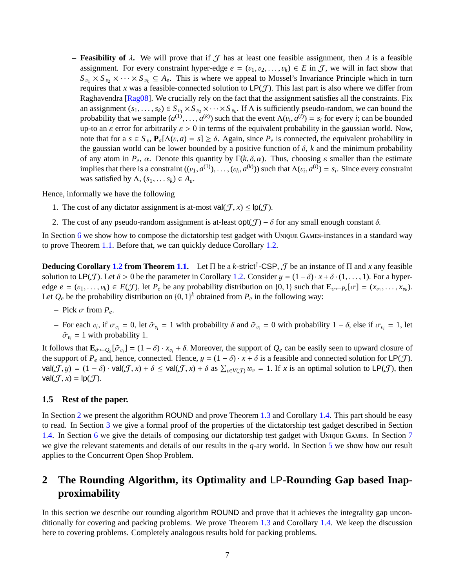<span id="page-7-1"></span>**– Feasibility of**  $\lambda$ . We will prove that if  $\mathcal{J}$  has at least one feasible assignment, then  $\lambda$  is a feasible assignment. For every constraint hyper-edge  $e = (v_1, v_2, \dots, v_k) \in E$  in J, we will in fact show that  $S_{v_1} \times S_{v_2} \times \cdots \times S_{v_k} \subseteq A_e$ . This is where we appeal to Mossel's Invariance Principle which in turn requires that x was a feasible-connected solution to  $LP(\mathcal{J})$ . This last part is also where we differ from Raghavendra [\[Rag08\]](#page-13-1). We crucially rely on the fact that the assignment satisfies all the constraints. Fix an assignment  $(s_1, \ldots, s_k) \in S_{v_1} \times S_{v_2} \times \cdots \times S_{v_k}$ . If  $\Lambda$  is sufficiently pseudo-random, we can bound the probability that we sample  $(a^{(1)},...,a^{(k)})$  such that the event  $\Lambda(v_i, a^{(i)}) = s_i$  for every *i*; can be bounded<br>up-to an e-error for arbitrarily  $s > 0$  in terms of the equivalent probability in the gaussian world. Now up-to an  $\varepsilon$  error for arbitrarily  $\varepsilon > 0$  in terms of the equivalent probability in the gaussian world. Now, note that for a  $s \in S_v$ ,  $P_a[\Lambda(v, a) = s] \ge \delta$ . Again, since  $P_e$  is connected, the equivalent probability in the gaussian world can be lower bounded by a positive function of  $\delta$ , k and the minimum probability the gaussian world can be lower bounded by a positive function of  $\delta$ ,  $k$  and the minimum probability of any atom in  $P_e$ ,  $\alpha$ . Denote this quantity by  $\Gamma(k, \delta, \alpha)$ . Thus, choosing  $\varepsilon$  smaller than the estimate implies that there is a constraint  $((v_1, a^{(1)}), \ldots, (v_k, a^{(k)}))$  such that  $\Lambda(v_i, a^{(i)}) = s_i$ . Since every constraint was satisfied by  $\Lambda$ ,  $(s_1, \ldots s_k) \in A_e$ .

Hence, informally we have the following

- 1. The cost of any dictator assignment is at-most val $(\mathcal{J}, x) \leq \mathsf{lp}(\mathcal{J})$ .
- 2. The cost of any pseudo-random assignment is at-least  $opt(\mathcal{J}) \delta$  for any small enough constant  $\delta$ .

In Section  $6$  we show how to compose the dictatorship test gadget with UNIQUE GAMES-instances in a standard way to prove Theorem [1.1.](#page-2-2) Before that, we can quickly deduce Corollary [1.2.](#page-2-1)

**Deducing Corollary [1.2](#page-2-1) from Theorem [1.1.](#page-2-2)** Let Π be a *k*-strict<sup>↑</sup> -CSP, J be an instance of Π and *x* any feasible solution to LP(*J*). Let  $\delta > 0$  be the parameter in Corollary [1.2.](#page-2-1) Consider  $y = (1 - \delta) \cdot x + \delta \cdot (1, \ldots, 1)$ . For a hyperedge  $e = (v_1, \ldots, v_k) \in E(\mathcal{J})$ , let  $P_e$  be any probability distribution on  $\{0, 1\}$  such that  $\mathbf{E}_{\sigma \leftarrow P_e}[\sigma] = (x_{v_1}, \ldots, x_{v_k})$ . Let  $Q_e$  be the probability distribution on  $\{0, 1\}^k$  obtained from  $P_e$  in the following way:

- $-$  Pick  $\sigma$  from  $P_e$ .
- For each *v<sub>i</sub>*, if  $σ_{v_i} = 0$ , let  $σ_{v_i} = 1$  with probability  $δ$  and  $σ_{v_i} = 0$  with probability  $1 δ$ , else if  $σ_{v_i} = 1$ , let  $σ_{v_i} = 1$  with probability 1  $\tilde{\sigma}_{v_i} = 1$  with probability 1.

It follows that  $\mathbf{E}_{\tilde{\sigma} \leftarrow Q_e}[\tilde{\sigma}_{v_i}] = (1 - \delta) \cdot x_{v_i} + \delta$ . Moreover, the support of  $Q_e$  can be easily seen to upward closure of the support of  $P$  and hence connected Hence  $y = (1 - \delta) \cdot x + \delta$  is a feasible and connect the support of  $P_e$  and, hence, connected. Hence,  $y = (1 - \delta) \cdot x + \delta$  is a feasible and connected solution for  $\mathsf{LP}(\mathcal{J})$ .  $val(\mathcal{J}, y) = (1 - \delta) \cdot val(\mathcal{J}, x) + \delta \le val(\mathcal{J}, x) + \delta$  as  $\sum_{v \in V(\mathcal{J})} w_v = 1$ . If *x* is an optimal solution to  $\textsf{LP}(\mathcal{J})$ , then  $val(\mathcal{J}, x) - \textsf{ID}(\mathcal{J})$  $val(\mathcal{J}, x) = lp(\mathcal{J}).$ 

## **1.5 Rest of the paper.**

In Section [2](#page-7-0) we present the algorithm ROUND and prove Theorem [1.3](#page-3-1) and Corollary [1.4.](#page-3-0) This part should be easy to read. In Section [3](#page-9-1) we give a formal proof of the properties of the dictatorship test gadget described in Section [1.4.](#page-5-0) In Section [6](#page-14-0) we give the details of composing our dictatorship test gadget with UNIQUE GAMES. In Section [7](#page-16-0) we give the relevant statements and details of our results in the *q*-ary world. In Section [5](#page-13-7) we show how our result applies to the Concurrent Open Shop Problem.

# <span id="page-7-0"></span>**2 The Rounding Algorithm, its Optimality and** LP**-Rounding Gap based Inapproximability**

In this section we describe our rounding algorithm ROUND and prove that it achieves the integrality gap unconditionally for covering and packing problems. We prove Theorem [1.3](#page-3-1) and Corollary [1.4.](#page-3-0) We keep the discussion here to covering problems. Completely analogous results hold for packing problems.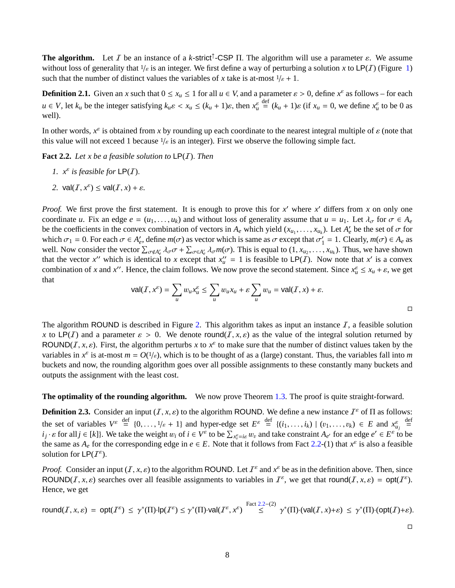**The algorithm.** Let *I* be an instance of a *k*-strict<sup>†</sup>-CSP Π. The algorithm will use a parameter  $\varepsilon$ . We assume without loss of generality that  $1/\varepsilon$  is an integer. We first define a way of perturbing a solution x without loss of generality that  $1/\varepsilon$  is an integer. We first define a way of perturbing a solution *x* to LP(*I*) (Figure [1\)](#page-2-0) such that the number of distinct values the variables of *x* take is at-most  $1/\varepsilon + 1$ .

<span id="page-8-1"></span>**Definition 2.1.** Given an *x* such that  $0 \le x_u \le 1$  for all  $u \in V$ , and a parameter  $\varepsilon > 0$ , define  $x^{\varepsilon}$  as follows – for each  $u \in V$ , let  $k_u$  be the integer satisfying  $k_u \varepsilon < x_u \le (k_u + 1)\varepsilon$ , then  $x_u^{\varepsilon}$  and  $\int_{0}^{\text{def}} (k_u + 1)\varepsilon$  (if  $x_u = 0$ , we define  $x_u^{\varepsilon}$  to be 0 as well).

In other words,  $x^{\varepsilon}$  is obtained from *x* by rounding up each coordinate to the nearest integral multiple of  $\varepsilon$  (note that this value will not exceed 1 because 1/<sub>2</sub> is an integer). First we observe the following this value will not exceed 1 because  $1/\varepsilon$  is an integer). First we observe the following simple fact.

<span id="page-8-0"></span>**Fact 2.2.** *Let x be a feasible solution to* LP(I). *Then*

- *1.*  $x^{\varepsilon}$  *is feasible for*  $\mathsf{LP}(I)$ *.*
- 2.  $\mathsf{val}(I, x^{\varepsilon}) \leq \mathsf{val}(I, x) + \varepsilon.$

*Proof.* We first prove the first statement. It is enough to prove this for  $x'$  where  $x'$  differs from  $x$  on only one coordinate *u*. Fix an edge  $e = (u_1, \ldots, u_k)$  and without loss of generality assume that  $u = u_1$ . Let  $\lambda_\sigma$  for  $\sigma \in A_e$ be the coefficients in the convex combination of vectors in  $A_e$  which yield  $(x_{u_1}, \ldots, x_{u_k})$ . Let  $A'_e$  be the set of  $\sigma$  for which  $\sigma_e = 0$ . For each  $\sigma \in A'$  define  $m(\sigma)$  as vector which is same as  $\sigma$  except that which  $\sigma_1 = 0$ . For each  $\sigma \in A'_e$ , define  $m(\sigma)$  as vector which is same as  $\sigma$  except that  $\sigma'_1$ <br>well. Now consider the vector  $\Sigma$ ,  $\sigma \in A \subset \sigma^+$ ,  $\Sigma$ ,  $\sigma \in A$ ,  $m(\sigma)$ . This is equal to (1, x  $\begin{cases} \n\frac{1}{1} = 1. \text{ Clearly, } m(\sigma) \in A_e \text{ as} \\
\frac{1}{1} = 1. \text{ Thus, we have shown} \n\end{cases}$ well. Now consider the vector  $\sum_{\sigma \notin A'_{\epsilon}} \lambda_{\sigma} \sigma + \sum_{\sigma \in A'_{\epsilon}} \lambda_{\sigma} m(\sigma)$ . This is equal to  $(1, x_{u_2}, \ldots, x_{u_k})$ . Thus, we have shown that the vector x'' which is identical to x except that  $x''_u = 1$  is feasible to LP(*I*). Now note that x' is a convex combination of *x* and *x*<sup>*v*</sup>. Hence, the claim follows. We now prove the second statement. Since  $x_u^{\varepsilon} \le x_u + \varepsilon$ , we get that

$$
\text{val}(I, x^{\varepsilon}) = \sum_{u} w_{u} x_{u}^{\varepsilon} \le \sum_{u} w_{u} x_{u} + \varepsilon \sum_{u} w_{u} = \text{val}(I, x) + \varepsilon.
$$

The algorithm ROUND is described in Figure [2.](#page-9-0) This algorithm takes as input an instance  $I$ , a feasible solution *x* to LP(I) and a parameter  $\varepsilon > 0$ . We denote round(I, *x*,  $\varepsilon$ ) as the value of the integral solution returned by ROUND(*I*, *x*,  $\varepsilon$ ). First, the algorithm perturbs *x* to  $x^{\varepsilon}$  to make sure that the number of distinct values taken by the variables in  $x^{\varepsilon}$  is at-most  $m = O(1/\varepsilon)$ , which is to be thought of as a (large) co variables in  $x^{\varepsilon}$  is at-most  $m = O(1/\varepsilon)$ , which is to be thought of as a (large) constant. Thus, the variables fall into *m*<br>buckets and now the rounding algorithm goes over all possible assignments to these constan buckets and now, the rounding algorithm goes over all possible assignments to these constantly many buckets and outputs the assignment with the least cost.

### <span id="page-8-2"></span>**The optimality of the rounding algorithm.** We now prove Theorem [1.3.](#page-3-1) The proof is quite straight-forward.

**Definition 2.3.** Consider an input  $(I, x, \varepsilon)$  to the algorithm ROUND. We define a new instance  $I^{\varepsilon}$  of  $\Pi$  as follows: the set of variables *V* ε def  $\{0, \ldots, 1/\varepsilon + 1\}$  and hyper-edge set  $E^{\varepsilon}$ <br>also the weight *u*<sub>1</sub> of  $i \in V^{\varepsilon}$  to be  $\Sigma$  and *u*<sub>1</sub> of def  $\{(i_1, \ldots, i_k) \mid (v_1, \ldots, v_k) \in E \text{ and } x_{u_j}^{\varepsilon}$ <br> *u*d take constraint A, for an edge  $e' \in E^{\varepsilon}$  to def = *i*<sub>j</sub> ·  $\varepsilon$  for all  $j \in [k]$ . We take the weight  $w_i$  of  $i \in V^{\varepsilon}$  to be  $\sum_{x_v^{\varepsilon} = i\varepsilon} w_v$  and take constraint  $A_{e'}$  for an edge  $e' \in E^{\varepsilon}$  to be the same as *A* for the corresponding adge in  $e \in E$ . Note th the same as  $A_e$  for the corresponding edge in  $e \in E$ . Note that it follows from Fact [2.2-](#page-8-0)(1) that  $x^{\epsilon}$  is also a feasible solution for  $LP(I^{\varepsilon}).$ 

*Proof.* Consider an input  $(I, x, \varepsilon)$  to the algorithm ROUND. Let  $I^{\varepsilon}$  and  $x^{\varepsilon}$  be as in the definition above. Then, since  $P(X|I|X,\varepsilon)$  searches over all feasible assignments to variables in  $I^{\varepsilon}$ , we get ROUND(*I*, *x*,  $\varepsilon$ ) searches over all feasible assignments to variables in  $I^{\varepsilon}$ , we get that round(*I*, *x*,  $\varepsilon$ ) = opt( $I^{\varepsilon}$ ). Hence, we get

$$
\text{round}(I, x, \varepsilon) = \text{opt}(I^{\varepsilon}) \le \gamma^*(\Pi) \cdot \text{lp}(I^{\varepsilon}) \le \gamma^*(\Pi) \cdot \text{val}(I^{\varepsilon}, x^{\varepsilon}) \stackrel{\text{Fact 2.2-}(2)}{\le} \gamma^*(\Pi) \cdot (\text{val}(I, x) + \varepsilon) \le \gamma^*(\Pi) \cdot (\text{opt}(I) + \varepsilon).
$$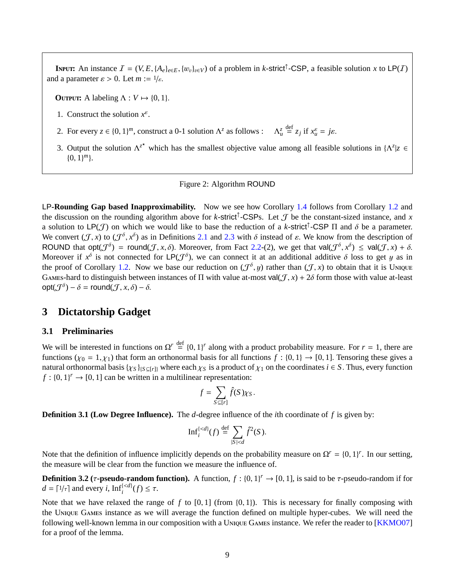<span id="page-9-2"></span>**INPUT:** An instance  $I = (V, E, \{A_e\}_{e \in E}, \{w_v\}_{v \in V})$  of a problem in *k*-strict<sup>†</sup>-CSP, a feasible solution *x* to LP(*I*) deparameter  $c > 0$ . Let  $m := 1/c$ and a parameter  $\varepsilon > 0$ . Let  $m := 1/\varepsilon$ .

**OUTPUT:** A labeling  $\Lambda: V \mapsto \{0, 1\}.$ 

- 1. Construct the solution  $x^{\varepsilon}$ .
- 2. For every  $z \in \{0, 1\}^m$ , construct a 0-1 solution  $\Lambda^z$  as follows :  $\Lambda_u^z$  $\frac{\text{def}}{\text{def}} z_j \text{ if } x_u^{\varepsilon} = j\varepsilon.$
- 3. Output the solution  $\Lambda^{z^*}$  which has the smallest objective value among all feasible solutions in  $\Lambda^z | z \in$ {0, <sup>1</sup>} *m*}.

### <span id="page-9-0"></span>Figure 2: Algorithm ROUND

LP**-Rounding Gap based Inapproximability.** Now we see how Corollary [1.4](#page-3-0) follows from Corollary [1.2](#page-2-1) and the discussion on the rounding algorithm above for *k*-strict<sup>†</sup>-CSPs. Let  $\mathcal J$  be the constant-sized instance, and x a solution to  $LP(\mathcal{J})$  on which we would like to base the reduction of a *k*-strict<sup>†</sup>-CSP  $\Pi$  and  $\delta$  be a parameter.<br>We convert  $(\mathcal{J}_X)$  to  $(\mathcal{J}^{\delta}_X)^{\delta}$  as in Definitions 2.1 and 2.3 with  $\delta$  instead of c. We We convert  $(\mathcal{J}, x)$  to  $(\mathcal{J}^{\delta}, x^{\delta})$  as in Definitions [2.1](#page-8-1) and [2.3](#page-8-2) with  $\delta$  instead of  $\varepsilon$ . We know from the description of  $\mathcal{J}(\mathcal{J}(\delta))$  that onterprise  $\mathcal{J}(\mathcal{J}(\delta))$  =  $\mathcal{J}(\mathcal{J}(\delta))$  =  $\mathcal{J}(\mathcal{J}(\$ ROUND that  $opt(\mathcal{J}^{\delta}) = round(\mathcal{J}, x, \delta)$ . Moreover, from Fact [2.2-](#page-8-0)(2), we get that  $val(\mathcal{J}^{\delta}, x^{\delta}) \le val(\mathcal{J}, x) + \delta$ .<br>Moreover if  $x^{\delta}$  is not connected for LP( $\mathcal{J}^{\delta}$ ), we can connect it at an additional additive  $\delta$ Moreover if  $x^{\delta}$  is not connected for  $LP(\mathcal{J}^{\delta})$ , we can connect it at an additional additive  $\delta$  loss to get y as in<br>the proof of Corollary 1.2. Now we have our reduction on  $(\mathcal{J}^{\delta}, u)$  rather than  $(\mathcal{J}, x)$  t the proof of Corollary [1.2.](#page-2-1) Now we base our reduction on  $(\mathcal{J}^{\delta}, y)$  rather than  $(\mathcal{J}, x)$  to obtain that it is UNIQUE GAMES-hard to distinguish between instances of  $\Pi$  with value at-most val $(\mathcal{J}, x) + 2\delta$  form those with value at-least  $\operatorname{opt}(\mathcal{J}^{\delta}) - \delta = \operatorname{round}(\mathcal{J}, x, \delta) - \delta.$ 

## <span id="page-9-1"></span>**3 Dictatorship Gadget**

### **3.1 Preliminaries**

We will be interested in functions on  $\Omega^r \stackrel{\text{def}}{=} \{0, 1\}^r$  along with a product probability measure. For  $r = 1$ , there are functions  $(\mu_0 - 1, \mu_0)$  that form an orthonormal basis for all functions  $f : [0, 1] \rightarrow [0, 1]$ functions ( $\chi_0 = 1, \chi_1$ ) that form an orthonormal basis for all functions  $f : \{0, 1\} \to [0, 1]$ . Tensoring these gives a natural orthonormal basis  $\{ \chi_S \}_{\{S \subseteq [r]\}}$  where each  $\chi_S$  is a product of  $\chi_1$  on the coordinates  $i \in S$ . Thus, every function  $f : \{0, 1\}^r \to [0, 1]$  can be written in a multilinear representation:

$$
f = \sum_{S \subseteq [r]} \hat{f}(S) \chi_S.
$$

**Definition 3.1 (Low Degree Influence).** The *d*-degree influence of the *i*th coordinate of *f* is given by:

$$
\mathrm{Inf}_i^{\{
$$

Note that the definition of influence implicitly depends on the probability measure on  $\Omega^r = \{0, 1\}^r$ . In our setting, the measure will be clear from the function we measure the influence of the measure will be clear from the function we measure the influence of.

**Definition 3.2** ( $\tau$ -**pseudo-random function).** A function,  $f : \{0, 1\}^r \to [0, 1]$ , is said to be  $\tau$ -pseudo-random if for  $d = [1/\tau]$  and every  $i$ . Inf<sup>{ $\le d$ }</sup> $\le \tau$  $d = \lceil 1/\tau \rceil$  and every *i*,  $\text{Inf}_i^{\{\langle d\}}(f) \leq \tau$ .

<span id="page-9-3"></span>Note that we have relaxed the range of  $f$  to  $[0, 1]$  (from  $\{0, 1\}$ ). This is necessary for finally composing with the UNIQUE GAMES instance as we will average the function defined on multiple hyper-cubes. We will need the following well-known lemma in our composition with a UNIQUE GAMES instance. We refer the reader to [\[KKMO07\]](#page-12-15) for a proof of the lemma.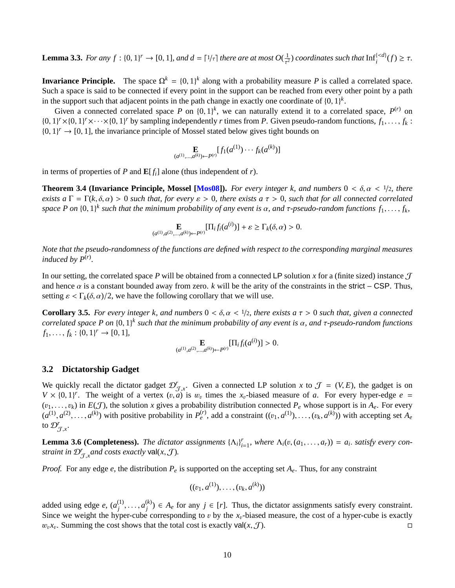<span id="page-10-1"></span>**Lemma 3.3.** *For any*  $f : \{0, 1\}^r \to [0, 1]$ *, and*  $d = \lceil 1/\tau \rceil$  *there are at most*  $O(\frac{1}{\tau^2})$  *coordinates such that*  $\text{Inf}_i^{\{\prec d\}}(f) \geq \tau$ *.* 

**Invariance Principle.** The space  $\Omega^k = \{0, 1\}^k$  along with a probability measure *P* is called a correlated space. Such a space is said to be connected if every point in the support can be reached from every other point by a path in the support such that adjacent points in the path change in exactly one coordinate of  $\{0, 1\}^k$ .<br>Civen a connected correlated space  $P$  on  $\{0, 1\}^k$ , we can naturally extend it to a corre

Given a connected correlated space *P* on  $\{0, 1\}^k$ , we can naturally extend it to a correlated space,  $P^{(r)}$  on  $V \times 10, 1V \times 10, 1V \times 10, 1V \times 10, 1V \times 10, 1V \times 10, 1V \times 10, 1V \times 10, 1V \times 10, 1V \times 10, 1V \times 10, 1V \times$  $\{0, 1\}^r \times \{0, 1\}^r \times \cdots \times \{0, 1\}^r$  by sampling independently *r* times from *P*. Given pseudo-random functions,  $f_1, \ldots, f_k$ :<br> $\{0, 1\}^r \rightarrow \{0, 1\}^r$  the invariance principle of Mossel stated below gives tight bou  $\{0, 1\}^r \rightarrow [0, 1]$ , the invariance principle of Mossel stated below gives tight bounds on

$$
\mathop{\mathbf{E}}_{(a^{(1)},...,a^{(k)}) \leftarrow P^{(r)}}[f_1(a^{(1)}) \cdots f_k(a^{(k)})]
$$

in terms of properties of *P* and  $\mathbf{E}[f_i]$  alone (thus independent of *r*).

**Theorem 3.4 (Invariance Principle, Mossel [\[Mos08\]](#page-13-0)).** For every integer k, and numbers  $0 < \delta, \alpha < 1/2$ , there *exists a*  $\Gamma = \Gamma(k, \delta, \alpha) > 0$  *such that, for every*  $\varepsilon > 0$ *, there exists a*  $\tau > 0$ *, such that for all connected correlated space P on*  $\{0, 1\}$ <sup>*k*</sup> such that the minimum probability of any event is α, and τ-pseudo-random functions  $f_1, \ldots, f_k$ ,

$$
\mathbf{E}_{(a^{(1)},a^{(2)},...,a^{(k)})\leftarrow P^{(r)}}[\Pi_i f_i(a^{(i)})] + \varepsilon \ge \Gamma_k(\delta,\alpha) > 0.
$$

*Note that the pseudo-randomness of the functions are defined with respect to the corresponding marginal measures induced by*  $P^{(r)}$ *.* 

In our setting, the correlated space P will be obtained from a connected LP solution x for a (finite sized) instance  $\mathcal T$ and hence  $\alpha$  is a constant bounded away from zero.  $k$  will be the arity of the constraints in the strict – CSP. Thus, setting  $\varepsilon < \Gamma_k(\delta, \alpha)/2$ , we have the following corollary that we will use.

<span id="page-10-0"></span>**Corollary 3.5.** *For every integer k, and numbers*  $0 < \delta, \alpha < 1/2$ *, there exists a*  $\tau > 0$  *such that, given a connected correlated space P on*  $\{0,1\}^k$  *such that the minimum probability of any event is*  $\alpha$ *, and*  $\tau$ *-pseudo-random functions*<br>*f*.  $f: \mathbb{R} \to \mathbb{R} \to \mathbb{R} \to \mathbb{R}$  11  $f_1, \ldots, f_k : \{0, 1\}^r \to [0, 1],$ 

$$
\mathop{\mathbf{E}}_{(a^{(1)},a^{(2)},\ldots,a^{(k)}) \leftarrow P^{(r)}} [\Pi_i f_i(a^{(i)})] > 0.
$$

### **3.2 Dictatorship Gadget**

We quickly recall the dictator gadget  $\mathcal{D}_{\mathcal{J},x}^r$ . Given a connected LP solution *x* to  $\mathcal{J} = (V, E)$ , the gadget is on  $V \times (0, 1)^r$ . The weight of a vertex  $(v, g)$  is *w*, times the *x* biased measure of *a*. For  $V \times \{0, 1\}^r$ . The weight of a vertex  $(v, a)$  is  $w_v$  times the  $x_v$ -biased measure of *a*. For every hyper-edge  $e = (v, b)$  in  $F(T)$  the solution *x* gives a probability distribution connected *P*, whose support is in *A*  $(v_1, \ldots, v_k)$  in  $E(\mathcal{J})$ , the solution x gives a probability distribution connected  $P_e$  whose support is in  $A_e$ . For every  $(a^{(1)}, a^{(2)}, \ldots, a^{(k)})$  with positive probability in  $P_e^{(r)}$ , add a constraint  $((v_1, a^{(1)}), \ldots,$ to  $\mathcal{D}_{\mathcal{J},x}^r$ .

<span id="page-10-2"></span>**Lemma 3.6 (Completeness).** The dictator assignments  $\{\Lambda_i\}_{i=1}^r$ , where  $\Lambda_i(v, (a_1, \ldots, a_r)) = a_i$ . satisfy every constraint in  $\mathbb{Q}^r$  and costs exactly  $\mathcal{V}^{\mathsf{all}}(x, \mathcal{T})$ *straint in*  $\mathcal{D}_{\mathcal{J},x}^r$  *and costs exactly* val $(x,\mathcal{J})$ *.* 

*Proof.* For any edge *e*, the distribution  $P_e$  is supported on the accepting set  $A_e$ . Thus, for any constraint

$$
((v_1, a^{(1)}), \ldots, (v_k, a^{(k)}))
$$

added using edge  $e$ ,  $(a_i^{(1)})$  $a_j^{(1)}, \ldots, a_j^{(k)}$ <br> *i* per-cube  $j^{(k)}$ )  $\in$  *A<sub>e</sub>* for any *j*  $\in$  [*r*]. Thus, the dictator assignments satisfy every constraint. Since we weight the hyper-cube corresponding to v by the  $x_v$ -biased measure, the cost of a hyper-cube is exactly  $w_n x_n$ . Summing the cost shows that the total cost is exactly val $(x, \mathcal{T})$ .  $w_v x_v$ . Summing the cost shows that the total cost is exactly val $(x, \mathcal{J})$ .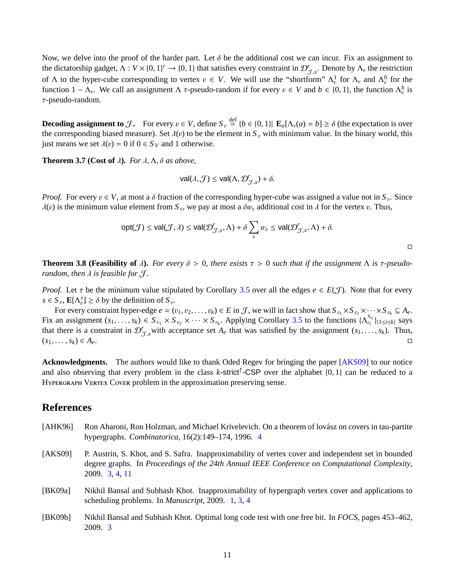<span id="page-11-4"></span>Now, we delve into the proof of the harder part. Let  $\delta$  be the additional cost we can incur. Fix an assignment to the dictatorship gadget,  $\Lambda : V \times \{0, 1\}^r \to \{0, 1\}$  that satisfies every constraint in  $\mathcal{D}_{\mathcal{J},x}^r$ . Denote by  $\Lambda_v$  the restriction of  $\Lambda$  to the hyper cube corresponding to vertex  $v \in V$ . We will use the "short of Λ to the hyper-cube corresponding to vertex  $v \in V$ . We will use the "shortform"  $Λ_v^1$  for  $Λ_v$  and  $Λ_v^0$  for the function  $1 - Λ$ . We call an assignment  $Λ \tau$  pseudo random if for every  $v \in V$  and  $h \in {0, 1}$ , the f function 1 − Λ<sub>v</sub>. We call an assignment Λ τ-pseudo-random if for every  $v \in V$  and  $b \in \{0, 1\}$ , the function Λ<sup>b</sup><sub>v</sub> is <br>π pseudo-random τ-pseudo-random.

**Decoding assignment to** J. For every  $v \in V$ , define  $S_v \stackrel{\text{def}}{=} \{b \in \{0, 1\} | \mathbf{E}_a[\Lambda_v(a) = b] \ge \delta$  (the expectation is over the corresponding biased massure). Set  $\lambda(v)$  to be the element in S. with minimum value. In th the corresponding biased measure). Set  $\lambda(v)$  to be the element in  $S_v$  with minimum value. In the binary world, this just means we set  $\lambda(v) = 0$  if  $0 \in S_V$  and 1 otherwise.

**Theorem 3.7** (Cost of  $\lambda$ ). *For*  $\lambda$ ,  $\Lambda$ ,  $\delta$  *as above,* 

$$
\mathsf{val}(\lambda, \mathcal{J}) \leq \mathsf{val}(\Lambda, \mathcal{D}'_{\mathcal{J},x}) + \delta.
$$

*Proof.* For every  $v \in V$ , at most a  $\delta$  fraction of the corresponding hyper-cube was assigned a value not in  $S_v$ . Since  $J(v)$  is the minimum value element from *S* we pay at most a  $\delta w$ , additional cost in *J* for the  $\lambda(v)$  is the minimum value element from  $S_v$ , we pay at most a  $\delta w_v$  additional cost in  $\lambda$  for the vertex v. Thus,

$$
\text{opt}(\mathcal{J}) \le \text{val}(\mathcal{J}, \lambda) \le \text{val}(\mathcal{D}'_{\mathcal{J}, x}, \Lambda) + \delta \sum_{v} w_v \le \text{val}(\mathcal{D}'_{\mathcal{J}, x}, \Lambda) + \delta.
$$

**Theorem 3.8 (Feasibility of**  $\lambda$ ). For every  $\delta > 0$ , there exists  $\tau > 0$  such that if the assignment  $\Lambda$  is  $\tau$ -pseudo*random, then*  $\lambda$  *is feasible for*  $\mathcal{J}$ *.* 

*Proof.* Let  $\tau$  be the minimum value stipulated by Corollary [3.5](#page-10-0) over all the edges  $e \in E(\mathcal{J})$ . Note that for every  $s \in S_v$ ,  $\mathbf{E}[\Lambda_v^s] \ge \delta$  by the definition of  $S_v$ .<br>For every constraint byper edge  $s = (s, s)$ 

For every constraint hyper-edge  $e = (v_1, v_2, ..., v_k) \in E$  in  $\mathcal{J}$ , we will in fact show that  $S_{v_1} \times S_{v_2} \times \cdots \times S_{v_k} \subseteq A_e$ . Fix an assignment  $(s_1, \ldots, s_k) \in S_{v_1} \times S_{v_2} \times \cdots \times S_{v_k}$ . Applying Corollary [3.5](#page-10-0) to the functions  $\{\Lambda_{v_i}^{s_{v_i}}\}_{\{1 \le i \le k\}}$  says that there is a constraint in  $\mathcal{D}_{\mathcal{J},x}^r$  with acceptance set  $A_e$  that was satisfied by the assignment  $(s_1, \ldots, s_k)$ . Thus,  $(s_1, \ldots, s_k) \in A$  $(s_1, ..., s_k) \in A_e.$ 

**Acknowledgments.** The authors would like to thank Oded Regev for bringing the paper [\[AKS09\]](#page-11-1) to our notice and also observing that every problem in the class  $k$ -strict<sup>†</sup>-CSP over the alphabet  $\{0, 1\}$  can be reduced to a<br>Hyperce and VERTEX Cover problem in the approximation preserving sense HYPERGRAPH VERTEX COVER problem in the approximation preserving sense.

## **References**

- <span id="page-11-3"></span>[AHK96] Ron Aharoni, Ron Holzman, and Michael Krivelevich. On a theorem of lovász on covers in tau-partite hypergraphs. *Combinatorica*, 16(2):149–174, 1996. [4](#page-4-0)
- <span id="page-11-1"></span>[AKS09] P. Austrin, S. Khot, and S. Safra. Inapproximability of vertex cover and independent set in bounded degree graphs. In *Proceedings of the 24th Annual IEEE Conference on Computational Complexity*, 2009. [3,](#page-3-2) [4,](#page-4-0) [11](#page-11-4)
- <span id="page-11-0"></span>[BK09a] Nikhil Bansal and Subhash Khot. Inapproximability of hypergraph vertex cover and applications to scheduling problems. In *Manuscript*, 2009. [1,](#page-0-0) [3,](#page-3-2) [4](#page-4-0)
- <span id="page-11-2"></span>[BK09b] Nikhil Bansal and Subhash Khot. Optimal long code test with one free bit. In *FOCS*, pages 453–462, 2009. [3](#page-3-2)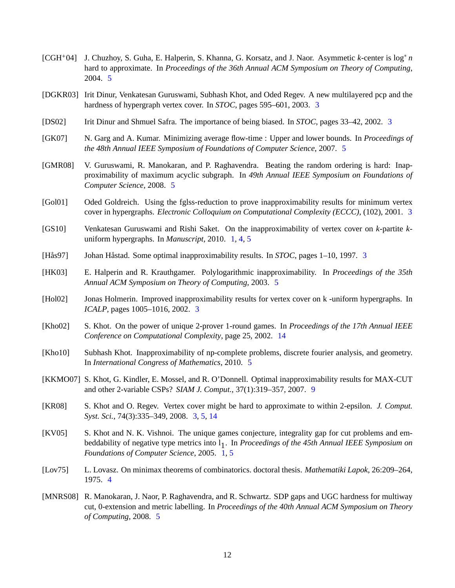- <span id="page-12-10"></span>[CGH+04] J. Chuzhoy, S. Guha, E. Halperin, S. Khanna, G. Korsatz, and J. Naor. Asymmetic *k*-center is log<sup>∗</sup> *n* hard to approximate. In *Proceedings of the 36th Annual ACM Symposium on Theory of Computing*, 2004. [5](#page-5-1)
- <span id="page-12-6"></span>[DGKR03] Irit Dinur, Venkatesan Guruswami, Subhash Khot, and Oded Regev. A new multilayered pcp and the hardness of hypergraph vertex cover. In *STOC*, pages 595–601, 2003. [3](#page-3-2)
- <span id="page-12-2"></span>[DS02] Irit Dinur and Shmuel Safra. The importance of being biased. In *STOC*, pages 33–42, 2002. [3](#page-3-2)
- <span id="page-12-12"></span>[GK07] N. Garg and A. Kumar. Minimizing average flow-time : Upper and lower bounds. In *Proceedings of the 48th Annual IEEE Symposium of Foundations of Computer Science*, 2007. [5](#page-5-1)
- <span id="page-12-9"></span>[GMR08] V. Guruswami, R. Manokaran, and P. Raghavendra. Beating the random ordering is hard: Inapproximability of maximum acyclic subgraph. In *49th Annual IEEE Symposium on Foundations of Computer Science*, 2008. [5](#page-5-1)
- <span id="page-12-4"></span>[Gol01] Oded Goldreich. Using the fglss-reduction to prove inapproximability results for minimum vertex cover in hypergraphs. *Electronic Colloquium on Computational Complexity (ECCC)*, (102), 2001. [3](#page-3-2)
- <span id="page-12-1"></span>[GS10] Venkatesan Guruswami and Rishi Saket. On the inapproximability of vertex cover on *k*-partite *k*uniform hypergraphs. In *Manuscript*, 2010. [1,](#page-0-0) [4,](#page-4-0) [5](#page-5-1)
- <span id="page-12-3"></span>[Hås97] Johan Håstad. Some optimal inapproximability results. In *STOC*, pages 1–10, 1997. [3](#page-3-2)
- <span id="page-12-11"></span>[HK03] E. Halperin and R. Krauthgamer. Polylogarithmic inapproximability. In *Proceedings of the 35th Annual ACM Symposium on Theory of Computing*, 2003. [5](#page-5-1)
- <span id="page-12-5"></span>[Hol02] Jonas Holmerin. Improved inapproximability results for vertex cover on k -uniform hypergraphs. In *ICALP*, pages 1005–1016, 2002. [3](#page-3-2)
- <span id="page-12-16"></span>[Kho02] S. Khot. On the power of unique 2-prover 1-round games. In *Proceedings of the 17th Annual IEEE Conference on Computational Complexity*, page 25, 2002. [14](#page-14-1)
- <span id="page-12-14"></span>[Kho10] Subhash Khot. Inapproximability of np-complete problems, discrete fourier analysis, and geometry. In *International Congress of Mathematics*, 2010. [5](#page-5-1)
- <span id="page-12-15"></span>[KKMO07] S. Khot, G. Kindler, E. Mossel, and R. O'Donnell. Optimal inapproximability results for MAX-CUT and other 2-variable CSPs? *SIAM J. Comput.*, 37(1):319–357, 2007. [9](#page-9-2)
- <span id="page-12-7"></span>[KR08] S. Khot and O. Regev. Vertex cover might be hard to approximate to within 2-epsilon. *J. Comput. Syst. Sci.*, 74(3):335–349, 2008. [3,](#page-3-2) [5,](#page-5-1) [14](#page-14-1)
- <span id="page-12-0"></span>[KV05] S. Khot and N. K. Vishnoi. The unique games conjecture, integrality gap for cut problems and embeddability of negative type metrics into l<sub>1</sub>. In *Proceedings of the 45th Annual IEEE Symposium on Foundations of Computer Science*, 2005. [1,](#page-0-0) [5](#page-5-1)
- <span id="page-12-8"></span>[Lov75] L. Lovasz. On minimax theorems of combinatorics. doctoral thesis. *Mathematiki Lapok*, 26:209–264, 1975. [4](#page-4-0)
- <span id="page-12-13"></span>[MNRS08] R. Manokaran, J. Naor, P. Raghavendra, and R. Schwartz. SDP gaps and UGC hardness for multiway cut, 0-extension and metric labelling. In *Proceedings of the 40th Annual ACM Symposium on Theory of Computing*, 2008. [5](#page-5-1)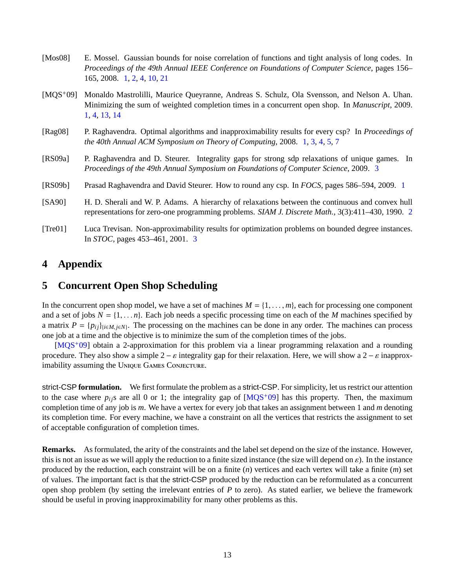- <span id="page-13-8"></span><span id="page-13-0"></span>[Mos08] E. Mossel. Gaussian bounds for noise correlation of functions and tight analysis of long codes. In *Proceedings of the 49th Annual IEEE Conference on Foundations of Computer Science*, pages 156– 165, 2008. [1,](#page-0-0) [2,](#page-2-3) [4,](#page-4-0) [10,](#page-10-1) [21](#page-21-0)
- <span id="page-13-2"></span>[MQS+09] Monaldo Mastrolilli, Maurice Queyranne, Andreas S. Schulz, Ola Svensson, and Nelson A. Uhan. Minimizing the sum of weighted completion times in a concurrent open shop. In *Manuscript*, 2009. [1,](#page-0-0) [4,](#page-4-0) [13,](#page-13-8) [14](#page-14-1)
- <span id="page-13-1"></span>[Rag08] P. Raghavendra. Optimal algorithms and inapproximability results for every csp? In *Proceedings of the 40th Annual ACM Symposium on Theory of Computing*, 2008. [1,](#page-0-0) [3,](#page-3-2) [4,](#page-4-0) [5,](#page-5-1) [7](#page-7-1)
- <span id="page-13-5"></span>[RS09a] P. Raghavendra and D. Steurer. Integrality gaps for strong sdp relaxations of unique games. In *Proceedings of the 49th Annual Symposium on Foundations of Computer Science*, 2009. [3](#page-3-2)
- <span id="page-13-3"></span>[RS09b] Prasad Raghavendra and David Steurer. How to round any csp. In *FOCS*, pages 586–594, 2009. [1](#page-0-0)
- <span id="page-13-4"></span>[SA90] H. D. Sherali and W. P. Adams. A hierarchy of relaxations between the continuous and convex hull representations for zero-one programming problems. *SIAM J. Discrete Math.*, 3(3):411–430, 1990. [2](#page-2-3)
- <span id="page-13-6"></span>[Tre01] Luca Trevisan. Non-approximability results for optimization problems on bounded degree instances. In *STOC*, pages 453–461, 2001. [3](#page-3-2)

# **4 Appendix**

## <span id="page-13-7"></span>**5 Concurrent Open Shop Scheduling**

In the concurrent open shop model, we have a set of machines  $M = \{1, \ldots, m\}$ , each for processing one component and a set of jobs  $N = \{1, \ldots n\}$ . Each job needs a specific processing time on each of the *M* machines specified by a matrix  $P = \{p_{ij}\}_{i \in M, j \in N}$ . The processing on the machines can be done in any order. The machines can process one job at a time and the objective is to minimize the sum of the completion times of the jobs.

 $[MQS^{+}09]$  $[MQS^{+}09]$  obtain a 2-approximation for this problem via a linear programming relaxation and a rounding procedure. They also show a simple  $2 - \varepsilon$  integrality gap for their relaxation. Here, we will show a  $2 - \varepsilon$  inapproximability assuming the UNIQUE GAMES CONJECTURE.

strict-CSP **formulation.** We first formulate the problem as a strict-CSP. For simplicity, let us restrict our attention to the case where  $p_{ij}$ s are all 0 or 1; the integrality gap of  $[MQS^+09]$  $[MQS^+09]$  has this property. Then, the maximum completion time of any job is *m*. We have a vertex for every job that takes an assignment between 1 and *m* denoting its completion time. For every machine, we have a constraint on all the vertices that restricts the assignment to set of acceptable configuration of completion times.

**Remarks.** As formulated, the arity of the constraints and the label set depend on the size of the instance. However, this is not an issue as we will apply the reduction to a finite sized instance (the size will depend on  $\varepsilon$ ). In the instance produced by the reduction, each constraint will be on a finite (*n*) vertices and each vertex will take a finite (*m*) set of values. The important fact is that the strict-CSP produced by the reduction can be reformulated as a concurrent open shop problem (by setting the irrelevant entries of *P* to zero). As stated earlier, we believe the framework should be useful in proving inapproximability for many other problems as this.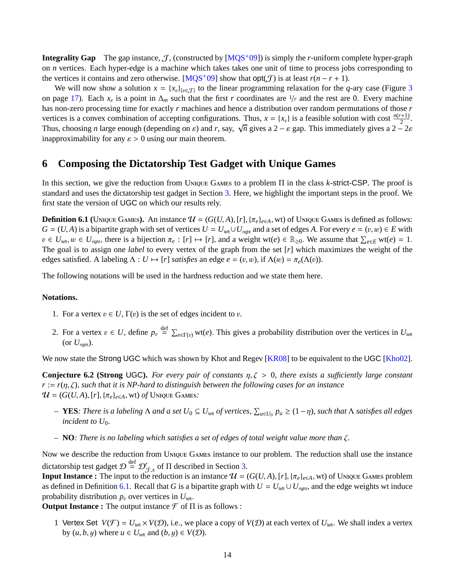<span id="page-14-1"></span>**Integrality Gap** The gap instance,  $J$ , (constructed by  $[MOS<sup>+</sup>09]$ ) is simply the *r*-uniform complete hyper-graph on *n* vertices. Each hyper-edge is a machine which takes takes one unit of time to process jobs corresponding to the vertices it contains and zero otherwise. [\[MQS](#page-13-2)<sup>+</sup>09] show that  $opt(\mathcal{J})$  is at least  $r(n - r + 1)$ .

We will now show a solution  $x = \{x_v\}_{v \in \mathcal{T}}$  to the linear programming relaxation for the *q*-ary case (Figure [3](#page-17-0)) on page [17\)](#page-17-0). Each  $x_v$  is a point in  $\Delta_m$  such that the first *r* coordinates are 1/*r* and the rest are 0. Every machine has non-zero processing time for exactly *r* machines and hence a distribution over random permutations of those *r* vertices is a convex combination of accepting configurations. Thus,  $x = \{x_v\}$  is a feasible solution with cost  $\frac{n(r+1)}{2}$ .<br>Thus, absocing a large arough (depending on a) and *n* source  $\sqrt{a}$  gives a 2 cost a. This im Thus, choosing *n* large enough (depending on  $\varepsilon$ ) and *r*, say,  $\sqrt{n}$  gives a 2 −  $\varepsilon$  gap. This immediately gives a 2 − 2 $\varepsilon$ <br>inanproximability for any  $\varepsilon > 0$  using our main theorem inapproximability for any  $\varepsilon > 0$  using our main theorem.

## <span id="page-14-0"></span>**6 Composing the Dictatorship Test Gadget with Unique Games**

In this section, we give the reduction from UNIQUE GAMES to a problem Π in the class *k*-strict-CSP. The proof is standard and uses the dictatorship test gadget in Section [3.](#page-9-1) Here, we highlight the important steps in the proof. We first state the version of UGC on which our results rely.

<span id="page-14-2"></span>**Definition 6.1** (UNIQUE GAMES). An instance  $\mathcal{U} = (G(U, A), [r], \{\pi_e\}_{e \in A}, \text{wt})$  of UNIQUE GAMES is defined as follows: *G* = (*U*, *A*) is a bipartite graph with set of vertices  $U = U_{\text{left}} \cup U_{\text{right}}$  and a set of edges *A*. For every  $e = (v, w) \in E$  with  $v \in U_{\text{left}}$ ,  $w \in U_{\text{right}}$ , there is a bijection  $\pi_e : [r] \mapsto [r]$ , and a weight wt(*e*)  $\in \mathbb{R}_{\geq 0}$ . We assume that  $\sum_{e \in E} \text{wt}(e) = 1$ .<br>The goal is to assign one *label* to every vertex of the graph from the set [r] The goal is to assign one *label* to every vertex of the graph from the set [*r*] which maximizes the weight of the edges satisfied. A labeling  $\Lambda : U \mapsto [r]$  *satisfies* an edge  $e = (v, w)$ , if  $\Lambda(w) = \pi_e(\Lambda(v))$ .

The following notations will be used in the hardness reduction and we state them here.

#### **Notations.**

- 1. For a vertex  $v \in U$ ,  $\Gamma(v)$  is the set of edges incident to v.
- 2. For a vertex  $v \in U$ , define  $p_v \stackrel{\text{def}}{=} \sum_{e \in \Gamma(v)} \text{wt}(e)$ . This gives a probability distribution over the vertices in  $U_{\text{left}}$ (or  $U_{\text{rioh}}$ ).

We now state the Strong UGC which was shown by Khot and Regev [\[KR08\]](#page-12-7) to be equivalent to the UGC [\[Kho02\]](#page-12-16).

**Conjecture 6.2 (Strong UGC).** For every pair of constants  $\eta, \zeta > 0$ , there exists a sufficiently large constant *<sup>r</sup>* :<sup>=</sup> *<sup>r</sup>*(η, ζ), *such that it is NP-hard to distinguish between the following cases for an instance*  $\mathcal{U} = (G(U, A), [r], \{\pi_e\}_{e \in A}, \text{wt}) \text{ of } \text{Unique Games}.$ 

- *–* **YES**: There is a labeling Λ and a set  $U_0 ⊆ U_{\text{left}}$  of vertices,  $\sum_{u \in U_0} p_u ≥ (1 η)$ , such that Λ satisfies all edges incident to  $U_0$ . *incident to U*<sup>0</sup>*.*
- *–* **NO***: There is no labeling which satisfies a set of edges of total weight value more than* ζ*.*

Now we describe the reduction from UNIQUE GAMES instance to our problem. The reduction shall use the instance dictatorship test gadget  $\mathcal{D} \stackrel{\text{def}}{=} \mathcal{D}_{\tau}^r$  of  $\Pi$  described in Section [3.](#page-9-1)

**Input Instance :** The input to the reduction is an instance  $\mathcal{U} = (G(U, A), [r], {\pi_e}_{e \in A}, wt)$  of Unique Games problem as defined in Definition 6.1. Recall that G is a binartite graph with  $U = U + U$  and the edge weights wt ind as defined in Definition [6.1.](#page-14-2) Recall that *G* is a bipartite graph with  $U = U_{\text{left}} \cup U_{\text{right}}$ , and the edge weights wt induce probability distribution  $p_v$  over vertices in  $U_{\text{left}}$ .

**Output Instance :** The output instance  $\mathcal{F}$  of  $\Pi$  is as follows :

1 Vertex Set  $V(\mathcal{F}) = U_{\text{left}} \times V(\mathcal{D})$ , i.e., we place a copy of  $V(\mathcal{D})$  at each vertex of  $U_{\text{left}}$ . We shall index a vertex by  $(u, b, y)$  where  $u \in U_{\text{left}}$  and  $(b, y) \in V(\mathcal{D})$ .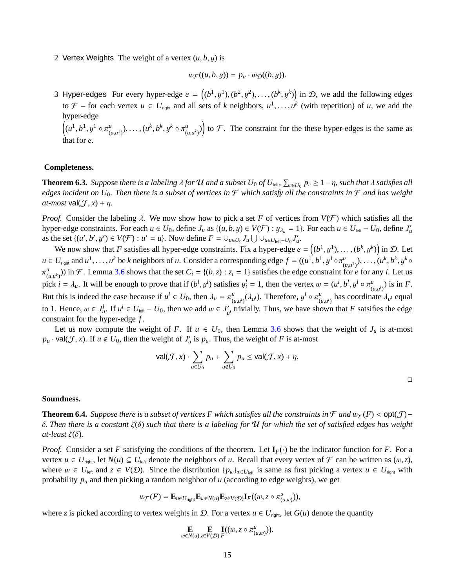2 Vertex Weights The weight of a vertex  $(u, b, y)$  is

$$
w_{\mathcal{F}}((u,b,y)) = p_u \cdot w_{\mathcal{D}}((b,y)).
$$

3 Hyper-edges For every hyper-edge  $e = ((b^1, y^1), (b^2, y^2), \dots, (b^k, y^k))$  in D, we add the following edges to  $\mathcal{F}$  – for each vertex  $u \in U_{\text{right}}$  and all sets of *k* neighbors,  $u^1, \ldots, u^k$  (with repetition) of *u*, we add the hyper-edge

 $\left((u^1, b^1, y^1 \circ \pi^u_{(i)})\right)$  $(u_{i}(u, u^{1})), \ldots, (u^{k}, b^{k}, y^{k} \circ \pi_{(u, u^{k})}^{u})$  $\binom{u}{(u,u^k)}$  to  $\mathcal F$ . The constraint for the these hyper-edges is the same as that for *e*.

### **Completeness.**

**Theorem 6.3.** Suppose there is a labeling  $\lambda$  for  $\mathcal U$  and a subset  $U_0$  of  $U_{\text{left}}$ ,  $\sum_{v \in U_0} p_v \geq 1 - \eta$ , such that  $\lambda$  satisfies all added to  $\mu$  and  $\lambda$  satisfies all a support on  $U_0$ . Then there is a sub *edges incident on U*<sub>0</sub>. Then there is a subset of vertices in  $\mathcal F$  which satisfy all the constraints in  $\mathcal F$  and has weight  $at-most$  val $(\mathcal{J}, x) + \eta$ .

*Proof.* Consider the labeling  $\lambda$ . We now show how to pick a set F of vertices from  $V(\mathcal{F})$  which satisfies all the hyper-edge constraints. For each  $u \in U_0$ , define  $J_u$  as  $\{(u, b, y) \in V(\mathcal{F}) : y_{\lambda_u} = 1\}$ . For each  $u \in U_{\text{left}} - U_0$ , define  $J'_u$ <br>as the set  $\{(u', b', u') \in V(\mathcal{F}) : u' = u\}$ . Now define  $F = \{1, \dots, I\}$ as the set  $\{(u', b', y') \in V(\mathcal{F}) : u' = u\}$ . Now define  $F = \bigcup_{u \in U_0} J_u \bigcup \bigcup_{u \in U_{\text{left}}-U_0} J'_u$ .<br>We now show that *F* satisfies all hyper ados constraints. Fix a hyper ados as

We now show that *F* satisfies all hyper-edge constraints. Fix a hyper-edge  $e = ((b^1, y^1), \ldots, (b^k, y^k))$  in *D*. Let  $u \in U_{\text{right}}$  and  $u^1, \dots, u^k$  be k neighbors of u. Consider a corresponding edge  $f = ((u^1, b^1, y^1 \circ \pi_{(u,u^1)}^u), \dots, (u^k, b^k, y^k \circ$  $(u_{i}, u^{k})$ ) in F. Lemma [3.6](#page-10-2) shows that the set  $C_{i} = \{(b, z) : z_{i} = 1\}$  satisfies the edge constraint for *e* for any *i*. Let us  $(u_{i}, u^{k})$  $\int u \, du$ <br>niek pick  $i = \lambda_u$ . It will be enough to prove that if  $(b^l, y^l)$  satisfies  $y_i^l = 1$ , then the vertex  $w = (u^l, b^l, y^l \circ \pi_{(l)}^u)$  $\binom{u}{(u,u^l)}$  is in *F*. But this is indeed the case because if  $u^l \in U_0$ , then  $\lambda_u = \pi^u_{(u,u^l)}(\lambda_{u^l})$ . Therefore,  $y^l \circ \pi^u_{(u,u^l)}$  has coordinate  $\lambda_{u^l}$  equal  $(u,u^l)^{V_l}$ , Therefore,  $y \in \Lambda_{(u,u)}$ to 1. Hence,  $w \in J_u^l$ . If  $u^l \in U_{\text{left}} - U_0$ , then we add  $w \in J_u^l$ <br>constraint for the hyper-edge f  $\mathcal{U}_{\mu}$ <sup>*l*</sup> trivially. Thus, we have shown that *F* satsifies the edge constraint for the hyper-edge *f* .

Let us now compute the weight of *F*. If  $u \in U_0$ , then Lemma [3.6](#page-10-2) shows that the weight of  $J_u$  is at-most  $p_u \cdot \text{val}(\mathcal{J}, x)$ . If  $u \notin U_0$ , then the weight of  $J'_u$  is  $p_u$ . Thus, the weight of *F* is at-most

$$
\mathsf{val}(\mathcal{J}, x) \cdot \sum_{u \in U_0} p_u + \sum_{u \notin U_0} p_u \leq \mathsf{val}(\mathcal{J}, x) + \eta.
$$

#### **Soundness.**

**Theorem 6.4.** *Suppose there is a subset of vertices F which satisfies all the constraints in*  $\mathcal F$  *and*  $w_{\mathcal F}(F) < \text{opt}(\mathcal F)$  – δ. *Then there is a constant* ζ(δ) *such that there is a labeling for* <sup>U</sup> *for which the set of satisfied edges has weight at-least* ζ(δ)*.*

*Proof.* Consider a set *F* satisfying the conditions of the theorem. Let  $\mathbf{I}_F(\cdot)$  be the indicator function for *F*. For a vertex  $u \in U_{\text{right}}$ , let  $N(u) \subseteq U_{\text{left}}$  denote the neighbors of *u*. Recall that every vertex of  $\mathcal F$  can be written as  $(w, z)$ , where  $w \in U_{\text{left}}$  and  $z \in V(\mathcal{D})$ . Since the distribution  $\{p_w\}_{w \in U_{\text{left}}}$  is same as first picking a vertex  $u \in U_{\text{right}}$  with probability  $p_u$  and then picking a random neighbor of *u* (according to edge weights), we get

$$
w_{\mathcal{F}}(F) = \mathbf{E}_{u \in U_{\text{right}}}\mathbf{E}_{w \in N(u)}\mathbf{E}_{z \in V(\mathcal{D})}\mathbf{I}_{F}((w, z \circ \pi^u_{(u,w)})),
$$

where *z* is picked according to vertex weights in D. For a vertex  $u \in U_{\text{right}}$ , let  $G(u)$  denote the quantity

$$
\mathbf{E}_{w \in N(u)} \mathbf{E}_{z \in V(\mathcal{D})} \mathbf{I}((w, z \circ \pi^u_{(u,w)})).
$$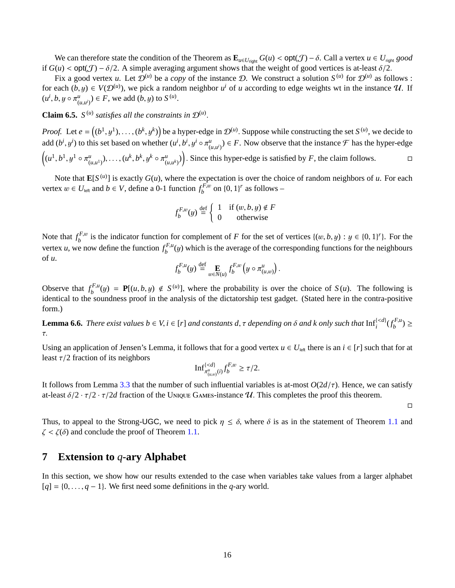We can therefore state the condition of the Theorem as  $\mathbf{E}_{u \in U_{\text{right}}} G(u) < \text{opt}(\mathcal{J}) - \delta$ . Call a vertex  $u \in U_{\text{right}}$  *good* if  $G(u) < \text{opt}(J) - \delta/2$ . A simple averaging argument shows that the weight of good vertices is at-least  $\delta/2$ .

Fix a good vertex *u*. Let  $\mathcal{D}^{(u)}$  be a *copy* of the instance D. We construct a solution  $S^{(u)}$  for  $\mathcal{D}^{(u)}$  as follows : for each  $(b, y) \in V(\mathcal{D}^{(u)})$ , we pick a random neighbor  $u^i$  of *u* according to edge weights wt in the instance  $\mathcal{U}$ . If  $(u^{i}, b, y \circ \pi^{u}_{(i)})$  $(u_{i}(u, u^{i})) \in F$ , we add  $(b, y)$  to  $S^{(u)}$ .

**Claim 6.5.**  $S^{(u)}$  satisfies all the constraints in  $\mathcal{D}^{(u)}$ 

*Proof.* Let  $e = ((b^1, y^1), \ldots, (b^k, y^k))$  be a hyper-edge in  $\mathcal{D}^{(u)}$ . Suppose while constructing the set *S*<sup>(*u*)</sup>, we decide to add  $(b^i, y^i)$  to this set based on whether  $(u^i, b^i, y^i \circ \pi^u_{(u, u^i)}) \in F$ . Now observe that the instance  $\mathcal F$  has the hyper-edge  $((u^1, b^1, y^1 \circ \pi^u_{(u,u^1)}), \dots, (u^k, b^k, y^k \circ \pi^u_{(u,u^k)}))$ . Since thi  $(u_{i}(u_{i},u_{i})), \ldots, (u_{i}^{k},b_{i}^{k},y_{i}^{k} \circ \pi_{i}^{k})$  $(\mathbf{u}_{\mu}(\mathbf{u}_k)^{\mu})$ . Since this hyper-edge is satisfied by *F*, the claim follows.

Note that  $\mathbf{E}[S^{(u)}]$  is exactly  $G(u)$ , where the expectation is over the choice of random neighbors of *u*. For each vertex  $w \in U_{\text{left}}$  and  $b \in V$ , define a 0-1 function  $f_b^{F,w}$  on  $\{0, 1\}^r$  as follows –

$$
f_b^{F,w}(y) \stackrel{\text{def}}{=} \begin{cases} 1 & \text{if } (w, b, y) \notin F \\ 0 & \text{otherwise} \end{cases}
$$

Note that  $f_b^{F,w}$  is the indicator function for complement of *F* for the set of vertices  $\{(w, b, y) : y \in \{0, 1\}^r\}$ . For the vertex *u*, we now define the function  $f_b^{F,u}(y)$  which is the average of the corresponding functions for the neighbours of *u* of *u*.

$$
f_b^{F,u}(y) \stackrel{\text{def}}{=} \mathop{\mathbf{E}}_{w \in N(u)} f_b^{F,w} \left( y \circ \pi_{(u,w)}^u \right).
$$

Observe that  $f_b^{F,u}(y) = \mathbf{P}[(u, b, y) \notin S^{(u)}]$ , where the probability is over the choice of  $S(u)$ . The following is identical to the soundness proof in the analysis of the dictatorship test gadget. (Stated here in the cont identical to the soundness proof in the analysis of the dictatorship test gadget. (Stated here in the contra-positive form.)

**Lemma 6.6.** *There exist values b*  $\in$  *V*, *i*  $\in$  [*r*] *and constants d*,  $\tau$  *depending on*  $\delta$  *and*  $k$  *only such that*  $\text{Inf}_{i}^{($ 

Using an application of Jensen's Lemma, it follows that for a good vertex  $u \in U_{\text{left}}$  there is an  $i \in [r]$  such that for at least  $\tau/2$  fraction of its neighbors

$$
\mathrm{Inf}_{\pi_{(u,w)}^u(i)}^{\{
$$

It follows from Lemma [3.3](#page-9-3) that the number of such influential variables is at-most  $O(2d/\tau)$ . Hence, we can satisfy at-least  $\delta/2 \cdot \tau/2 \cdot \tau/2d$  fraction of the UNIQUE GAMES-instance U. This completes the proof this theorem.

 $\Box$ 

Thus, to appeal to the Strong-UGC, we need to pick  $\eta \leq \delta$ , where  $\delta$  is as in the statement of Theorem [1.1](#page-2-2) and  $\zeta < \zeta(\delta)$  and conclude the proof of Theorem [1.1.](#page-2-2)

## <span id="page-16-0"></span>**7 Extension to** *q***-ary Alphabet**

In this section, we show how our results extended to the case when variables take values from a larger alphabet  $[q] = \{0, \ldots, q-1\}$ . We first need some definitions in the *q*-ary world.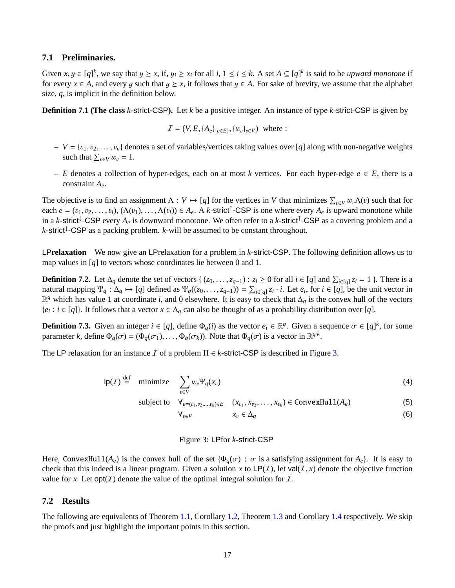## **7.1 Preliminaries.**

Given  $x, y \in [q]^k$ , we say that  $y \ge x$ , if,  $y_i \ge x_i$  for all  $i, 1 \le i \le k$ . A set  $A \subseteq [q]^k$  is said to be *upward monotone* if for every  $x \in A$ , and every u such that  $y \ge x$  it follows that  $y \in A$ . For sake of brevity, we a for every  $x \in A$ , and every y such that  $y \ge x$ , it follows that  $y \in A$ . For sake of brevity, we assume that the alphabet size, *q*, is implicit in the definition below.

**Definition 7.1 (The class** *k***-**strict-CSP**).** Let *k* be a positive integer. An instance of type *k*-strict-CSP is given by

$$
I=(V,E,\{A_e\}_{\{e\in E\}},\{w_v\}_{v\in V})
$$
 where :

- $V = \{v_1, v_2, \ldots, v_n\}$  denotes a set of variables/vertices taking values over [*q*] along with non-negative weights such that  $\sum_{v \in V} w_v = 1$ .
- $E = E$  denotes a collection of hyper-edges, each on at most *k* vertices. For each hyper-edge  $e \in E$ , there is a constraint *<sup>A</sup>e*.

The objective is to find an assignment  $\Lambda : V \mapsto [q]$  for the vertices in *V* that minimizes  $\sum_{v \in V} w_v \Lambda(v)$  such that for each  $e = (v_1, v_2, \dots, v_l)$ ,  $(\Lambda(v_1), \dots, \Lambda(v_l)) \in A_e$ . A *k*-strict<sup>†</sup>-CSP is one where every  $A_e$  is upward monotone while in a *k*-strict<sup>↓</sup> -CSP every *A<sup>e</sup>* is downward monotone. We often refer to a *k*-strict<sup>↑</sup> -CSP as a covering problem and a *k*-strict<sup>↓</sup> -CSP as a packing problem. *k*-will be assumed to be constant throughout.

LP**relaxation** We now give an LPrelaxation for a problem in *k*-strict-CSP. The following definition allows us to map values in [*q*] to vectors whose coordinates lie between 0 and 1.

<span id="page-17-2"></span>**Definition 7.2.** Let  $\Delta_q$  denote the set of vectors { (*z*<sub>0</sub>, ..., *z*<sub>*q*</sub>−1) : *zi* ≥ 0 for all *i* ∈ [*q*] and  $\sum_{i \in [q]} z_i = 1$  }. There is a patural manning  $\Psi : \Delta \mapsto [q]$  defined as  $\Psi ((z_0, \ldots, z_{q-1})) = \sum_{i \in [q]} z$ natural mapping  $\Psi_q : \Delta_q \mapsto [q]$  defined as  $\Psi_q((z_0, \ldots, z_{q-1})) = \sum_{i \in [q]} z_i \cdot i$ . Let  $e_i$ , for  $i \in [q]$ , be the unit vector in<br>  $\mathbb{R}^q$  which has value 1 at coordinate i, and 0 elsewhere. It is easy to check that  $\Delta$ , R *<sup>q</sup>* which has value 1 at coordinate *i*, and 0 elsewhere. It is easy to check that ∆*<sup>q</sup>* is the convex hull of the vectors  ${e_i : i \in [q]}$ . It follows that a vector  $x \in \Delta_q$  can also be thought of as a probability distribution over [*q*].

**Definition 7.3.** Given an integer  $i \in [q]$ , define  $\Phi_q(i)$  as the vector  $e_i \in \mathbb{R}^q$ . Given a sequence  $\sigma \in [q]^k$ , for some parameter *k* define  $\Phi_q(\sigma) = (\Phi_q(\sigma))$ . Note that  $\Phi_q(\sigma)$  is a vector in  $\mathbb{R}^{q \cdot k}$ parameter *k*, define  $\Phi_q(\sigma) = (\Phi_q(\sigma_1), \dots, \Phi_q(\sigma_k))$ . Note that  $\Phi_q(\sigma)$  is a vector in  $\mathbb{R}^{q \cdot k}$ .

The LP relaxation for an instance  $\mathcal I$  of a problem  $\Pi \in k$ -strict-CSP is described in Figure [3.](#page-17-0)

$$
lp(\mathcal{I}) \stackrel{\text{def}}{=} \text{minimize} \sum_{v \in V} w_v \Psi_q(x_v) \tag{4}
$$

subject to  $\forall_{e=(v_1, v_2, ..., v_k) \in E}$  (*x*<sub>v1</sub>, *x*<sub>v2</sub>, . . . , *x*<sub>v<sub>k</sub></sub>) ∈ ConvexHull(*A*<sub>*e*</sub>) (5)

 $\forall_{v \in V}$  *x<sub>v</sub>* ∈ ∆*q* (6)

#### <span id="page-17-0"></span>Figure 3: LPfor *k*-strict-CSP

Here, ConvexHull( $A_e$ ) is the convex hull of the set { $\Phi_q(\sigma)$  :  $\sigma$  is a satisfying assignment for  $A_e$ }. It is easy to check that this indeed is a linear program. Given a solution x to  $\mathsf{LP}(I)$ , let val $(I, x)$  denote the objective function value for *x*. Let  $opt(I)$  denote the value of the optimal integral solution for *I*.

#### **7.2 Results**

<span id="page-17-1"></span>The following are equivalents of Theorem [1.1,](#page-2-2) Corollary [1.2,](#page-2-1) Theorem [1.3](#page-3-1) and Corollary [1.4](#page-3-0) respectively. We skip the proofs and just highlight the important points in this section.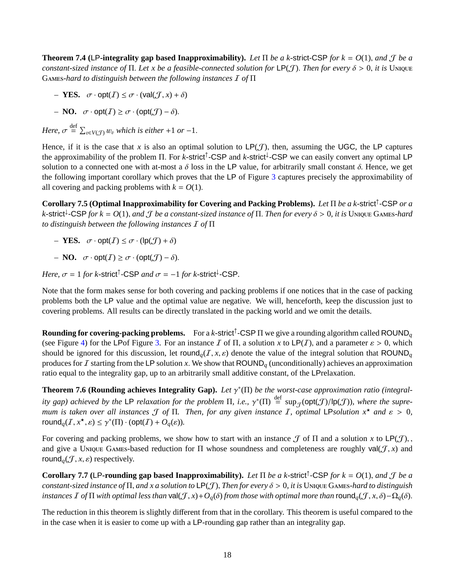**Theorem 7.4 (**LP**-integrality gap based Inapproximability).** *Let* <sup>Π</sup> *be a k-*strict-CSP *for k* <sup>=</sup> *<sup>O</sup>*(1), *and* <sup>J</sup> *be a constant-sized instance of*  $\Pi$ . Let x be a feasible-connected solution for LP( $J$ ). Then for every  $\delta > 0$ , *it is* Unique G*-hard to distinguish between the following instances* I *of* Π

- *–* **YES.**  $\sigma \cdot \text{opt}(I) \leq \sigma \cdot (\text{val}(I, x) + \delta)$
- *–* **NO.**  $\sigma \cdot \text{opt}(I) \ge \sigma \cdot (\text{opt}(I) \delta).$

*Here,*  $\sigma \stackrel{\text{def}}{=} \sum_{v \in V(\mathcal{J})} w_v$  *which is either* +1 *or* -1.

Hence, if it is the case that *x* is also an optimal solution to  $LP(\mathcal{J})$ , then, assuming the UGC, the LP captures the approximability of the problem Π. For *k*-strict<sup>↑</sup>-CSP and *k*-strict<sup>↓</sup>-CSP we can easily convert any optimal LP<br>solution to a connected one with at most a δ loss in the LP value, for arbitrarily small constant δ. solution to a connected one with at-most a  $\delta$  loss in the LP value, for arbitrarily small constant  $\delta$ . Hence, we get the following important corollary which proves that the LP of Figure [3](#page-17-0) captures precisely the approximability of all covering and packing problems with  $k = O(1)$ .

**Corollary 7.5 (Optimal Inapproximability for Covering and Packing Problems).** *Let* Π *be a k-*strict<sup>↑</sup> -CSP *or a*  $k$ -strict<sup>†</sup>-CSP for  $k = O(1)$ , and  $\mathcal J$  *be a constant-sized instance of*  $\Pi$ . *Then for every*  $\delta > 0$ , *it is* UNIQUE GAMES-hard<br>to distinguish between the following instances  $\mathcal I$  of  $\Pi$ *to distinguish between the following instances* I *of* Π

- *–* **YES.**  $\sigma \cdot \text{opt}(I) \leq \sigma \cdot (\text{lp}(J) + \delta)$
- *–* **NO.**  $\sigma \cdot \text{opt}(I) \ge \sigma \cdot (\text{opt}(\mathcal{J}) \delta).$

*Here,*  $\sigma = 1$  *for k*-strict<sup> $\uparrow$ </sup>-CSP *and*  $\sigma = -1$  *for k*-strict<sup> $\downarrow$ </sup>-CSP.

Note that the form makes sense for both covering and packing problems if one notices that in the case of packing problems both the LP value and the optimal value are negative. We will, henceforth, keep the discussion just to covering problems. All results can be directly translated in the packing world and we omit the details.

**Rounding for covering-packing problems.** For a *k*-strict<sup>↑</sup> -CSP Π we give a rounding algorithm called ROUND*<sup>q</sup>* (see Figure [4\)](#page-19-0) for the LPof Figure [3.](#page-17-0) For an instance I of  $\Pi$ , a solution x to LP(I), and a parameter  $\varepsilon > 0$ , which should be ignored for this discussion, let round<sub>*q*</sub>(*I*, *x*,  $\varepsilon$ ) denote the value of the integral solution that ROUND<sub>*q*</sub> produces for  $I$  starting from the LP solution  $x$ . We show that ROUND<sub>q</sub> (unconditionally) achieves an approximation ratio equal to the integrality gap, up to an arbitrarily small additive constant, of the LPrelaxation.

**Theorem 7.6 (Rounding achieves Integrality Gap).** *Let* γ ∗ (Π) *be the worst-case approximation ratio (integrality gap) achieved by the* LP *relaxation for the problem*  $\Pi$ *, i.e.,*  $\gamma^*(\Pi) \stackrel{\text{def}}{=} \sup_{\mathcal{J}}(\text{opt}(\mathcal{J})/|\text{p}(\mathcal{J}))$ *, where the supre-*<br>mum is taken over all instances  $\mathcal{J}$  of  $\Pi$ . Then, for any given instan *mum is taken over all instances*  $\mathcal J$  *of*  $\Pi$ . *Then, for any given instance*  $I$ *, optimal* LP*solution*  $x^*$  *and*  $\varepsilon > 0$ *,* round<sub>q</sub>(I, x<sup>\*</sup>,  $\varepsilon$ )  $\leq \gamma^*(\Pi) \cdot (\text{opt}(I) + O_q(\varepsilon)).$ 

For covering and packing problems, we show how to start with an instance  $\mathcal J$  of  $\Pi$  and a solution  $x$  to  $\mathsf{LP}(\mathcal J)$ , and give a UNIQUE GAMES-based reduction for  $\Pi$  whose soundness and completeness are roughly val( $J, x$ ) and round<sub>*a*</sub> $(\mathcal{J}, x, \varepsilon)$  respectively.

**Corollary 7.7** (LP-rounding gap based Inapproximability). Let  $\Pi$  be a k-strict<sup>†</sup>-CSP for  $k = O(1)$ , and  $\mathcal J$  be a<br>constant sized instance of  $\Pi$  and x a solution to  $\Pi$   $\mathcal F$ . Then for every  $\delta > 0$ , it is Unput G *constant-sized instance of*  $\Pi$ , *and x a solution to*  $LP(\mathcal{J})$ , *Then for every*  $\delta > 0$ , *it is* UNIQUE GAMES-hard to distinguish *instances*  $\overline{I}$  *of*  $\Pi$  *with optimal less than* val( $\overline{J}$ *, x*)+ $O_a(\delta)$  *from those with optimal more than* round $\overline{O}_a(\overline{J}, x, \delta) - \Omega_a(\delta)$ .

The reduction in this theorem is slightly different from that in the corollary. This theorem is useful compared to the in the case when it is easier to come up with a LP-rounding gap rather than an integrality gap.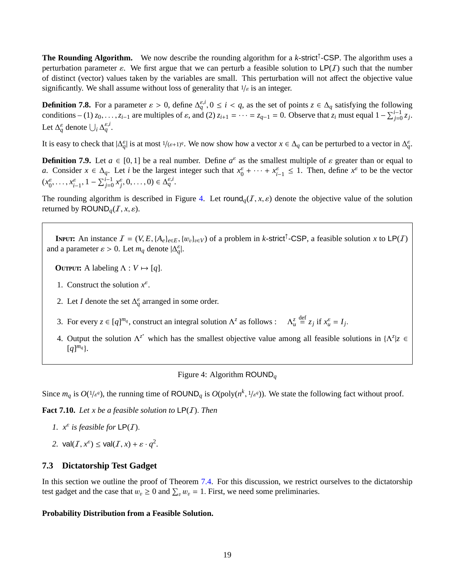**The Rounding Algorithm.** We now describe the rounding algorithm for a *k*-strict<sup>↑</sup> -CSP. The algorithm uses a perturbation parameter  $\varepsilon$ . We first argue that we can perturb a feasible solution to  $\mathsf{LP}(I)$  such that the number of distinct (vector) values taken by the variables are small. This perturbation will not affect the objective value significantly. We shall assume without loss of generality that  $1/\varepsilon$  is an integer.

**Definition 7.8.** For a parameter  $\varepsilon > 0$ , define  $\Delta_q^{\varepsilon,i}$ ,  $0 \le i < q$ , as the set of points  $z \in \Delta_q$  satisfying the following conditions. (1)  $z_0 = 7$ ,  $z_0 = 0$ ,  $z_0 = 7$ ,  $z_0 = 0$ ,  $z_0 = 0$ ,  $z_0 = 0$ ,  $z_0 = 0$ ,  $z_0 =$ conditions – (1)  $z_0, \ldots, z_{i-1}$  are multiples of  $\varepsilon$ , and (2)  $z_{i+1} = \cdots = z_{q-1} = 0$ . Observe that  $z_i$  must equal  $1 - \sum_{j=0}^{i-1} z_j$ . Let  $\Delta_q^{\varepsilon}$  denote  $\bigcup_i \Delta_q^{\varepsilon,i}$ .

It is easy to check that  $|\Delta_q^{\varepsilon}|$  is at most  $1/(\varepsilon+1)^q$ . We now show how a vector  $x \in \Delta_q$  can be perturbed to a vector in  $\Delta_q^{\varepsilon}$ .

**Definition 7.9.** Let  $a \in [0, 1]$  be a real number. Define  $a^{\varepsilon}$  as the smallest multiple of  $\varepsilon$  greater than or equal to  $a$ . Consider  $x \in A$ . Let *i* be the largest integer such that  $x^{\varepsilon} + \ldots + x^{\varepsilon} \leq 1$ . Th *a*. Consider  $x \in \Delta_q$ . Let *i* be the largest integer such that  $x_0^{\varepsilon} + \cdots + x_{i-1}^{\varepsilon} \leq 1$ . Then, define  $x^{\varepsilon}$  to be the vector  $(x_0^{\varepsilon}, \ldots, x_{i-1}^{\varepsilon}, 1 - \sum_{j=0}^{i-1} x_j^{\varepsilon}, 0, \ldots, 0) \in \Delta_q^{\varepsilon, i}$ .

The rounding algorithm is described in Figure [4.](#page-19-0) Let round<sub>*q*</sub>(*I*, *x*,  $\varepsilon$ ) denote the objective value of the solution returned by  $\text{ROUND}_q(I, x, \varepsilon)$ .

**INPUT:** An instance  $I = (V, E, \{A_e\}_{e \in E}, \{w_v\}_{v \in V})$  of a problem in *k*-strict<sup>†</sup>-CSP, a feasible solution *x* to LP(*I*) deparameter  $c > 0$ . Let *m*, deparatel  $A^{\epsilon_1}$ and a parameter  $\varepsilon > 0$ . Let  $m_q$  denote  $|\Delta_q^{\varepsilon}|$ .

**OUTPUT:** A labeling  $\Lambda: V \mapsto [q]$ .

- 1. Construct the solution  $x^{\varepsilon}$ .
- 2. Let *I* denote the set  $\Delta_q^{\varepsilon}$  arranged in some order.
- 3. For every  $z \in [q]^{m_q}$ , construct an integral solution  $\Lambda^z$  as follows :  $\Lambda_u^z$  $\frac{\text{def}}{=} z_j \text{ if } x_u^{\varepsilon} = I_j.$
- 4. Output the solution  $\Lambda^{z^*}$  which has the smallest objective value among all feasible solutions in  $\{\Lambda^z | z \in I\}$  $[q]^{m_q}$

<span id="page-19-0"></span>Figure 4: Algorithm ROUND*<sup>q</sup>*

Since  $m_q$  is  $O(1/\varepsilon^q)$ , the running time of ROUND<sub>q</sub> is  $O(poly(n^k, 1/\varepsilon^q))$ . We state the following fact without proof.

**Fact 7.10.** *Let x be a feasible solution to* LP(I). *Then*

- *1.*  $x^{\varepsilon}$  *is feasible for*  $\mathsf{LP}(I)$ *.*
- 2.  $\text{val}(I, x^{\varepsilon}) \leq \text{val}(I, x) + \varepsilon \cdot q^2$ .

## **7.3 Dictatorship Test Gadget**

In this section we outline the proof of Theorem [7.4.](#page-17-1) For this discussion, we restrict ourselves to the dictatorship test gadget and the case that  $w_v \ge 0$  and  $\sum_v w_v = 1$ . First, we need some preliminaries.

### **Probability Distribution from a Feasible Solution.**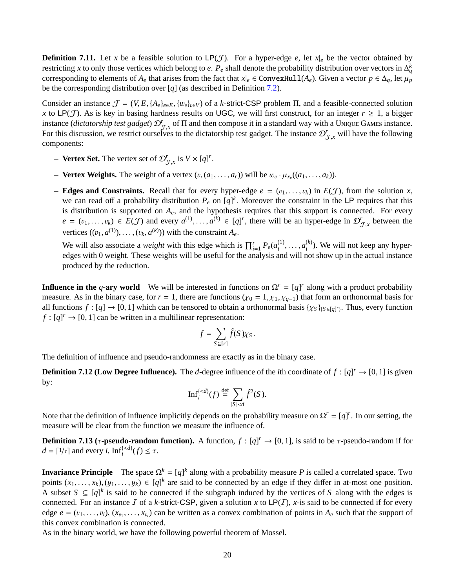**Definition 7.11.** Let *x* be a feasible solution to LP(*J*). For a hyper-edge *e*, let  $x|_e$  be the vector obtained by restricting *x* to only those vertices which belong to *e*.  $P_e$  shall denote the probability distribution over vectors in  $\Delta_q^k$ corresponding to elements of  $A_e$  that arises from the fact that  $x|_e \in \text{ConvexHull}(A_e)$ . Given a vector  $p \in \Delta_q$ , let  $\mu_p$ be the corresponding distribution over [*q*] (as described in Definition [7.2\)](#page-17-2).

Consider an instance  $\mathcal{J} = (V, E, \{A_e\}_{e \in E}, \{w_v\}_{v \in V})$  of a *k*-strict-CSP problem  $\Pi$ , and a feasible-connected solution *x* to LP(*J*). As is key in basing hardness results on UGC, we will first construct, for an integer  $r \geq 1$ , a bigger instance (*dictatorship test gadget*)  $\mathcal{D}_{\tau}^r$  of  $\Pi$  and then compose it in a standard way with a UNIQUE GAMES instance. For this discussion, we restrict ourselves to the dictatorship test gadget. The instance  $\mathcal{D}_{\mathcal{J},x}^r$  will have the following components: components:

- **Vertex Set.** The vertex set of  $\mathcal{D}_{\mathcal{J},x}^r$  is  $V \times [q]^r$
- **Vertex Weights.** The weight of a vertex  $(v, (a_1, \ldots, a_r))$  will be  $w_v \cdot \mu_{x_v}((a_1, \ldots, a_k))$ .
- **Edges and Constraints.** Recall that for every hyper-edge  $e = (v_1, \ldots, v_k)$  in  $E(\mathcal{J})$ , from the solution *x*, we can read off a probability distribution  $P_e$  on  $[q]^k$ . Moreover the constraint in the LP requires that this is distribution is supported on *<sup>A</sup>e*, and the hypothesis requires that this support is connected. For every  $e = (v_1, \ldots, v_k) \in E(\mathcal{J})$  and every  $a^{(1)}, \ldots, a^{(k)} \in [q]^r$ , there will be an hyper-edge in  $\mathcal{D}_{\mathcal{J},x}^r$  between the vertices  $((v, a^{(1)}) \ldots (v, a^{(k)}))$  with the constraint A vertices  $((v_1, a^{(1)}), \ldots, (v_k, a^{(k)}))$  with the constraint  $A_e$ .

We will also associate a *weight* with this edge which is  $\prod_{i=1}^{r} P_e(a_i^{(1)})$  $a_i^{(1)}, \ldots, a_i^{(k)}$ <br>and will no  $i<sup>(k)</sup>$ ). We will not keep any hyperedges with 0 weight. These weights will be useful for the analysis and will not show up in the actual instance produced by the reduction.

**Influence in the** *q***-ary world** We will be interested in functions on  $\Omega^r = [q]^r$  along with a product probability measure. As in the binary case, for  $r = 1$ , there are functions ( $\chi_0 = 1, \chi_1, \chi_{q-1}$ ) that form an orthonormal basis for all functions  $f : [q] \to [0, 1]$  which can be tensored to obtain a orthonormal basis  $\{\chi_S\}_{\{S \in [q]^r\}}$ . Thus, every function  $f : [q]^r \to [0, 1]$  can be written in a multilinear representation:  $f : [q]^r \to [0, 1]$  can be written in a multilinear representation:

$$
f = \sum_{S \subseteq [r]} \hat{f}(S) \chi_S.
$$

The definition of influence and pseudo-randomness are exactly as in the binary case.

**Definition 7.12 (Low Degree Influence).** The *d*-degree influence of the *i*th coordinate of  $f : [q]^r \rightarrow [0, 1]$  is given by: by:

$$
\mathrm{Inf}_i^{\{
$$

Note that the definition of influence implicitly depends on the probability measure on  $\Omega^r = [q]^r$ . In our setting, the measure will be clear from the function we measure the influence of.

**Definition 7.13** ( $\tau$ -**pseudo-random function).** A function,  $f : [q]^r \to [0, 1]$ , is said to be  $\tau$ -pseudo-random if for  $d = [1/\tau]$  and every i  $\text{Inf}^{(\le d)}(f) \le \tau$  $d = \lceil 1/\tau \rceil$  and every *i*,  $\text{Inf}_i^{\{\langle d\}}(f) \leq \tau$ .

**Invariance Principle** The space  $\Omega^k = [q]^k$  along with a probability measure *P* is called a correlated space. Two points  $(x_1, \ldots, x_k)$ ,  $(y_1, \ldots, y_k) \in [q]^k$  are said to be connected by an edge if they differ in at-most one position. A subset *S* ⊆ [*q*]<sup>*k*</sup> is said to be connected if the subgraph induced by the vertices of *S* along with the edges is connected. For an instance  $I$  of a *k*-strict-CSP, given a solution  $x$  to  $LP(I)$ ,  $x$ -is said to be connected if for every edge  $e = (v_1, \ldots, v_l), (x_{v_1}, \ldots, x_{v_l})$  can be written as a convex combination of points in  $A_e$  such that the support of this convex combination is connected. this convex combination is connected.

As in the binary world, we have the following powerful theorem of Mossel.